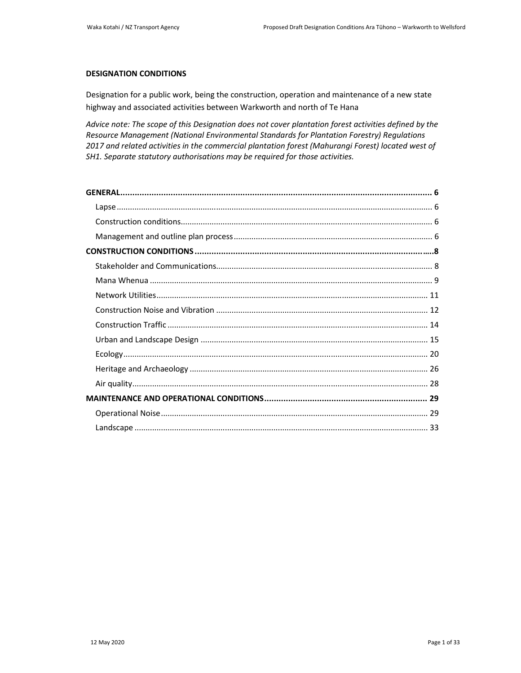### **DESIGNATION CONDITIONS**

Designation for a public work, being the construction, operation and maintenance of a new state highway and associated activities between Warkworth and north of Te Hana

*Advice note: The scope of this Designation does not cover plantation forest activities defined by the Resource Management (National Environmental Standards for Plantation Forestry) Regulations 2017 and related activities in the commercial plantation forest (Mahurangi Forest) located west of SH1. Separate statutory authorisations may be required for those activities.*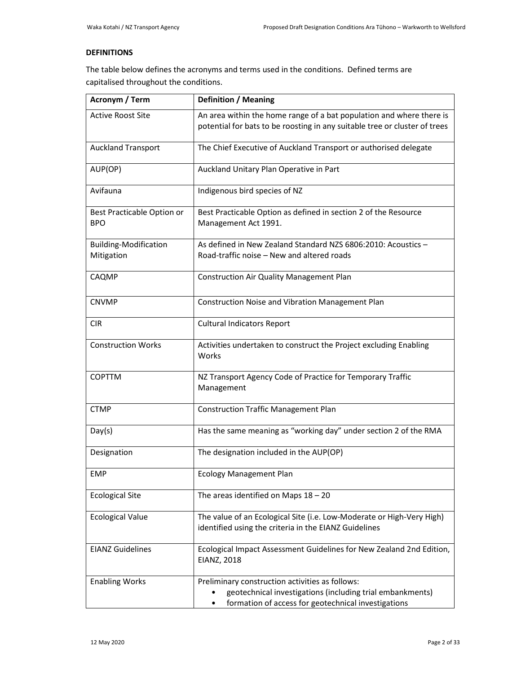## **DEFINITIONS**

The table below defines the acronyms and terms used in the conditions. Defined terms are capitalised throughout the conditions.

| <b>Acronym / Term</b>                      | <b>Definition / Meaning</b>                                                                                                                                         |
|--------------------------------------------|---------------------------------------------------------------------------------------------------------------------------------------------------------------------|
| <b>Active Roost Site</b>                   | An area within the home range of a bat population and where there is<br>potential for bats to be roosting in any suitable tree or cluster of trees                  |
| <b>Auckland Transport</b>                  | The Chief Executive of Auckland Transport or authorised delegate                                                                                                    |
| AUP(OP)                                    | Auckland Unitary Plan Operative in Part                                                                                                                             |
| Avifauna                                   | Indigenous bird species of NZ                                                                                                                                       |
| Best Practicable Option or<br><b>BPO</b>   | Best Practicable Option as defined in section 2 of the Resource<br>Management Act 1991.                                                                             |
| <b>Building-Modification</b><br>Mitigation | As defined in New Zealand Standard NZS 6806:2010: Acoustics -<br>Road-traffic noise – New and altered roads                                                         |
| CAQMP                                      | Construction Air Quality Management Plan                                                                                                                            |
| <b>CNVMP</b>                               | Construction Noise and Vibration Management Plan                                                                                                                    |
| <b>CIR</b>                                 | <b>Cultural Indicators Report</b>                                                                                                                                   |
| <b>Construction Works</b>                  | Activities undertaken to construct the Project excluding Enabling<br>Works                                                                                          |
| <b>COPTTM</b>                              | NZ Transport Agency Code of Practice for Temporary Traffic<br>Management                                                                                            |
| <b>CTMP</b>                                | <b>Construction Traffic Management Plan</b>                                                                                                                         |
| Day(s)                                     | Has the same meaning as "working day" under section 2 of the RMA                                                                                                    |
| Designation                                | The designation included in the AUP(OP)                                                                                                                             |
| <b>EMP</b>                                 | <b>Ecology Management Plan</b>                                                                                                                                      |
| <b>Ecological Site</b>                     | The areas identified on Maps $18 - 20$                                                                                                                              |
| <b>Ecological Value</b>                    | The value of an Ecological Site (i.e. Low-Moderate or High-Very High)<br>identified using the criteria in the EIANZ Guidelines                                      |
| <b>EIANZ Guidelines</b>                    | Ecological Impact Assessment Guidelines for New Zealand 2nd Edition,<br>EIANZ, 2018                                                                                 |
| <b>Enabling Works</b>                      | Preliminary construction activities as follows:<br>geotechnical investigations (including trial embankments)<br>formation of access for geotechnical investigations |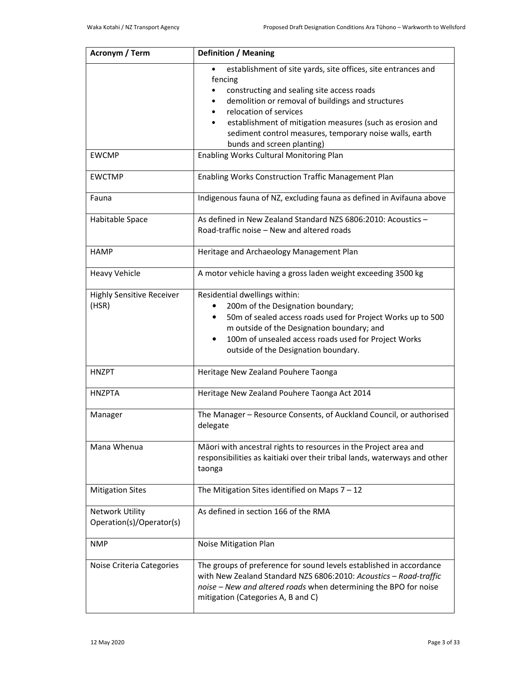| <b>Acronym / Term</b>                              | <b>Definition / Meaning</b>                                                                                                                                                                                                                                                                                                                                 |
|----------------------------------------------------|-------------------------------------------------------------------------------------------------------------------------------------------------------------------------------------------------------------------------------------------------------------------------------------------------------------------------------------------------------------|
|                                                    | establishment of site yards, site offices, site entrances and<br>fencing<br>constructing and sealing site access roads<br>demolition or removal of buildings and structures<br>relocation of services<br>establishment of mitigation measures (such as erosion and<br>sediment control measures, temporary noise walls, earth<br>bunds and screen planting) |
| <b>EWCMP</b>                                       | Enabling Works Cultural Monitoring Plan                                                                                                                                                                                                                                                                                                                     |
| <b>EWCTMP</b>                                      | Enabling Works Construction Traffic Management Plan                                                                                                                                                                                                                                                                                                         |
| Fauna                                              | Indigenous fauna of NZ, excluding fauna as defined in Avifauna above                                                                                                                                                                                                                                                                                        |
| Habitable Space                                    | As defined in New Zealand Standard NZS 6806:2010: Acoustics -<br>Road-traffic noise - New and altered roads                                                                                                                                                                                                                                                 |
| <b>HAMP</b>                                        | Heritage and Archaeology Management Plan                                                                                                                                                                                                                                                                                                                    |
| <b>Heavy Vehicle</b>                               | A motor vehicle having a gross laden weight exceeding 3500 kg                                                                                                                                                                                                                                                                                               |
| <b>Highly Sensitive Receiver</b><br>(HSR)          | Residential dwellings within:<br>200m of the Designation boundary;<br>50m of sealed access roads used for Project Works up to 500<br>m outside of the Designation boundary; and<br>100m of unsealed access roads used for Project Works<br>$\bullet$<br>outside of the Designation boundary.                                                                |
| <b>HNZPT</b>                                       | Heritage New Zealand Pouhere Taonga                                                                                                                                                                                                                                                                                                                         |
| <b>HNZPTA</b>                                      | Heritage New Zealand Pouhere Taonga Act 2014                                                                                                                                                                                                                                                                                                                |
| Manager                                            | The Manager - Resource Consents, of Auckland Council, or authorised<br>delegate                                                                                                                                                                                                                                                                             |
| Mana Whenua                                        | Māori with ancestral rights to resources in the Project area and<br>responsibilities as kaitiaki over their tribal lands, waterways and other<br>taonga                                                                                                                                                                                                     |
| <b>Mitigation Sites</b>                            | The Mitigation Sites identified on Maps $7 - 12$                                                                                                                                                                                                                                                                                                            |
| <b>Network Utility</b><br>Operation(s)/Operator(s) | As defined in section 166 of the RMA                                                                                                                                                                                                                                                                                                                        |
| <b>NMP</b>                                         | Noise Mitigation Plan                                                                                                                                                                                                                                                                                                                                       |
| Noise Criteria Categories                          | The groups of preference for sound levels established in accordance<br>with New Zealand Standard NZS 6806:2010: Acoustics - Road-traffic<br>noise - New and altered roads when determining the BPO for noise<br>mitigation (Categories A, B and C)                                                                                                          |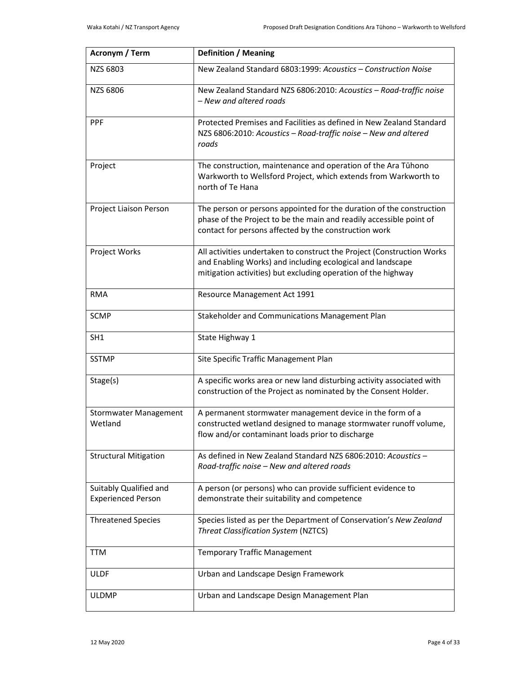| <b>Acronym / Term</b>                               | <b>Definition / Meaning</b>                                                                                                                                                                           |
|-----------------------------------------------------|-------------------------------------------------------------------------------------------------------------------------------------------------------------------------------------------------------|
| NZS 6803                                            | New Zealand Standard 6803:1999: Acoustics - Construction Noise                                                                                                                                        |
| NZS 6806                                            | New Zealand Standard NZS 6806:2010: Acoustics - Road-traffic noise<br>- New and altered roads                                                                                                         |
| <b>PPF</b>                                          | Protected Premises and Facilities as defined in New Zealand Standard<br>NZS 6806:2010: Acoustics - Road-traffic noise - New and altered<br>roads                                                      |
| Project                                             | The construction, maintenance and operation of the Ara Tūhono<br>Warkworth to Wellsford Project, which extends from Warkworth to<br>north of Te Hana                                                  |
| Project Liaison Person                              | The person or persons appointed for the duration of the construction<br>phase of the Project to be the main and readily accessible point of<br>contact for persons affected by the construction work  |
| Project Works                                       | All activities undertaken to construct the Project (Construction Works<br>and Enabling Works) and including ecological and landscape<br>mitigation activities) but excluding operation of the highway |
| <b>RMA</b>                                          | Resource Management Act 1991                                                                                                                                                                          |
| <b>SCMP</b>                                         | Stakeholder and Communications Management Plan                                                                                                                                                        |
| SH <sub>1</sub>                                     | State Highway 1                                                                                                                                                                                       |
| <b>SSTMP</b>                                        | Site Specific Traffic Management Plan                                                                                                                                                                 |
| Stage(s)                                            | A specific works area or new land disturbing activity associated with<br>construction of the Project as nominated by the Consent Holder.                                                              |
| <b>Stormwater Management</b><br>Wetland             | A permanent stormwater management device in the form of a<br>constructed wetland designed to manage stormwater runoff volume,<br>flow and/or contaminant loads prior to discharge                     |
| <b>Structural Mitigation</b>                        | As defined in New Zealand Standard NZS 6806:2010: Acoustics -<br>Road-traffic noise - New and altered roads                                                                                           |
| Suitably Qualified and<br><b>Experienced Person</b> | A person (or persons) who can provide sufficient evidence to<br>demonstrate their suitability and competence                                                                                          |
| <b>Threatened Species</b>                           | Species listed as per the Department of Conservation's New Zealand<br><b>Threat Classification System (NZTCS)</b>                                                                                     |
| <b>TTM</b>                                          | <b>Temporary Traffic Management</b>                                                                                                                                                                   |
| <b>ULDF</b>                                         | Urban and Landscape Design Framework                                                                                                                                                                  |
| ULDMP                                               | Urban and Landscape Design Management Plan                                                                                                                                                            |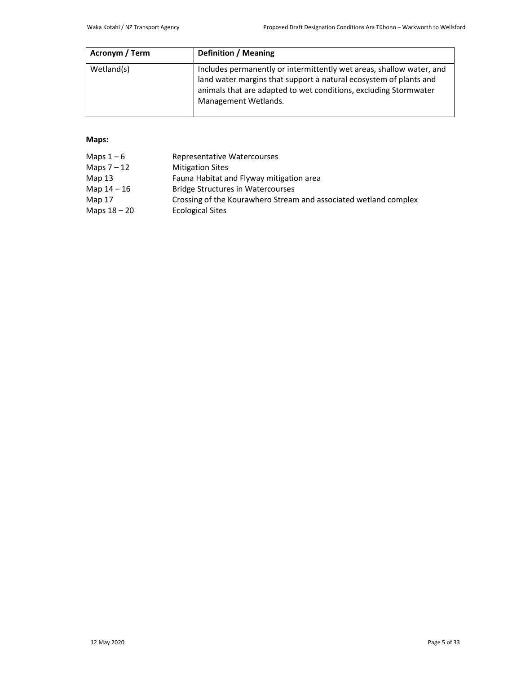| Acronym / Term | <b>Definition / Meaning</b>                                                                                                                                                                                                           |
|----------------|---------------------------------------------------------------------------------------------------------------------------------------------------------------------------------------------------------------------------------------|
| Wetland(s)     | Includes permanently or intermittently wet areas, shallow water, and<br>land water margins that support a natural ecosystem of plants and<br>animals that are adapted to wet conditions, excluding Stormwater<br>Management Wetlands. |

## **Maps:**

| Maps $1-6$     | Representative Watercourses                                      |
|----------------|------------------------------------------------------------------|
| Maps $7-12$    | <b>Mitigation Sites</b>                                          |
| Map $13$       | Fauna Habitat and Flyway mitigation area                         |
| Map 14 - 16    | <b>Bridge Structures in Watercourses</b>                         |
| Map 17         | Crossing of the Kourawhero Stream and associated wetland complex |
| Maps $18 - 20$ | <b>Ecological Sites</b>                                          |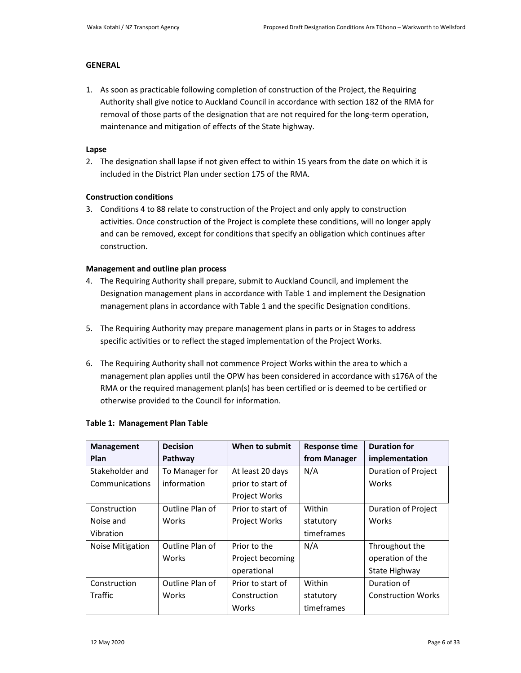## **GENERAL**

1. As soon as practicable following completion of construction of the Project, the Requiring Authority shall give notice to Auckland Council in accordance with section 182 of the RMA for removal of those parts of the designation that are not required for the long-term operation, maintenance and mitigation of effects of the State highway.

## **Lapse**

2. The designation shall lapse if not given effect to within 15 years from the date on which it is included in the District Plan under section 175 of the RMA.

## **Construction conditions**

3. Conditions 4 to 88 relate to construction of the Project and only apply to construction activities. Once construction of the Project is complete these conditions, will no longer apply and can be removed, except for conditions that specify an obligation which continues after construction.

## **Management and outline plan process**

- 4. The Requiring Authority shall prepare, submit to Auckland Council, and implement the Designation management plans in accordance with Table 1 and implement the Designation management plans in accordance with Table 1 and the specific Designation conditions.
- 5. The Requiring Authority may prepare management plans in parts or in Stages to address specific activities or to reflect the staged implementation of the Project Works.
- 6. The Requiring Authority shall not commence Project Works within the area to which a management plan applies until the OPW has been considered in accordance with s176A of the RMA or the required management plan(s) has been certified or is deemed to be certified or otherwise provided to the Council for information.

| <b>Management</b> | <b>Decision</b> | When to submit       | <b>Response time</b> | <b>Duration for</b>        |
|-------------------|-----------------|----------------------|----------------------|----------------------------|
| <b>Plan</b>       | Pathway         |                      | from Manager         | implementation             |
| Stakeholder and   | To Manager for  | At least 20 days     | N/A                  | <b>Duration of Project</b> |
| Communications    | information     | prior to start of    |                      | Works                      |
|                   |                 | <b>Project Works</b> |                      |                            |
| Construction      | Outline Plan of | Prior to start of    | Within               | <b>Duration of Project</b> |
| Noise and         | Works           | <b>Project Works</b> | statutory            | Works                      |
| Vibration         |                 |                      | timeframes           |                            |
| Noise Mitigation  | Outline Plan of | Prior to the         | N/A                  | Throughout the             |
|                   | Works           | Project becoming     |                      | operation of the           |
|                   |                 | operational          |                      | State Highway              |
| Construction      | Outline Plan of | Prior to start of    | Within               | Duration of                |
| Traffic           | Works           | Construction         | statutory            | <b>Construction Works</b>  |
|                   |                 | Works                | timeframes           |                            |

## **Table 1: Management Plan Table**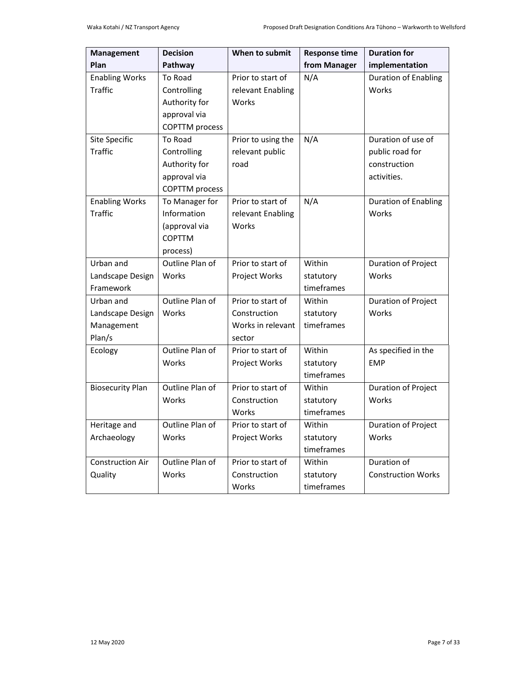| Management              | <b>Decision</b>             | When to submit     | <b>Response time</b> | <b>Duration for</b>         |
|-------------------------|-----------------------------|--------------------|----------------------|-----------------------------|
| Plan                    | Pathway                     |                    | from Manager         | implementation              |
| <b>Enabling Works</b>   | To Road                     | Prior to start of  | N/A                  | <b>Duration of Enabling</b> |
| <b>Traffic</b>          | Controlling                 | relevant Enabling  |                      | Works                       |
|                         | Authority for               | Works              |                      |                             |
|                         | approval via                |                    |                      |                             |
|                         | <b>COPTTM</b> process       |                    |                      |                             |
| Site Specific           | To Road                     | Prior to using the | N/A                  | Duration of use of          |
| <b>Traffic</b>          | Controlling                 | relevant public    |                      | public road for             |
|                         | Authority for               | road               |                      | construction                |
|                         | approval via                |                    |                      | activities.                 |
|                         | <b>COPTTM</b> process       |                    |                      |                             |
| <b>Enabling Works</b>   | To Manager for              | Prior to start of  | N/A                  | <b>Duration of Enabling</b> |
| <b>Traffic</b>          | Information                 | relevant Enabling  |                      | Works                       |
|                         | (approval via               | Works              |                      |                             |
|                         | <b>COPTTM</b>               |                    |                      |                             |
| Urban and               | process)<br>Outline Plan of | Prior to start of  | Within               | Duration of Project         |
| Landscape Design        | Works                       | Project Works      | statutory            | Works                       |
| Framework               |                             |                    | timeframes           |                             |
| Urban and               | Outline Plan of             | Prior to start of  | Within               | Duration of Project         |
| Landscape Design        | Works                       | Construction       | statutory            | Works                       |
| Management              |                             | Works in relevant  | timeframes           |                             |
| Plan/s                  |                             | sector             |                      |                             |
| Ecology                 | Outline Plan of             | Prior to start of  | Within               | As specified in the         |
|                         | Works                       | Project Works      | statutory            | <b>EMP</b>                  |
|                         |                             |                    | timeframes           |                             |
| <b>Biosecurity Plan</b> | Outline Plan of             | Prior to start of  | Within               | Duration of Project         |
|                         | Works                       | Construction       | statutory            | Works                       |
|                         |                             | Works              | timeframes           |                             |
| Heritage and            | Outline Plan of             | Prior to start of  | Within               | Duration of Project         |
| Archaeology             | Works                       | Project Works      | statutory            | Works                       |
|                         |                             |                    | timeframes           |                             |
| <b>Construction Air</b> | Outline Plan of             | Prior to start of  | Within               | Duration of                 |
| Quality                 | Works                       | Construction       | statutory            | <b>Construction Works</b>   |
|                         |                             | Works              | timeframes           |                             |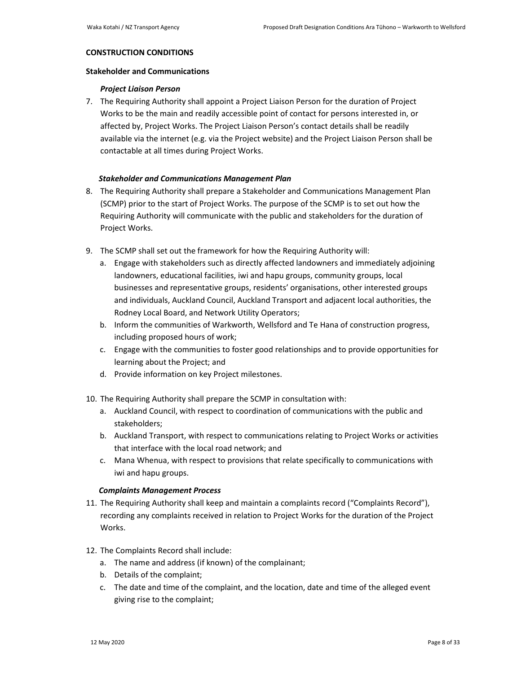#### **CONSTRUCTION CONDITIONS**

## **Stakeholder and Communications**

### *Project Liaison Person*

7. The Requiring Authority shall appoint a Project Liaison Person for the duration of Project Works to be the main and readily accessible point of contact for persons interested in, or affected by, Project Works. The Project Liaison Person's contact details shall be readily available via the internet (e.g. via the Project website) and the Project Liaison Person shall be contactable at all times during Project Works.

### *Stakeholder and Communications Management Plan*

- 8. The Requiring Authority shall prepare a Stakeholder and Communications Management Plan (SCMP) prior to the start of Project Works. The purpose of the SCMP is to set out how the Requiring Authority will communicate with the public and stakeholders for the duration of Project Works.
- 9. The SCMP shall set out the framework for how the Requiring Authority will:
	- a. Engage with stakeholders such as directly affected landowners and immediately adjoining landowners, educational facilities, iwi and hapu groups, community groups, local businesses and representative groups, residents' organisations, other interested groups and individuals, Auckland Council, Auckland Transport and adjacent local authorities, the Rodney Local Board, and Network Utility Operators;
	- b. Inform the communities of Warkworth, Wellsford and Te Hana of construction progress, including proposed hours of work;
	- c. Engage with the communities to foster good relationships and to provide opportunities for learning about the Project; and
	- d. Provide information on key Project milestones.
- 10. The Requiring Authority shall prepare the SCMP in consultation with:
	- a. Auckland Council, with respect to coordination of communications with the public and stakeholders;
	- b. Auckland Transport, with respect to communications relating to Project Works or activities that interface with the local road network; and
	- c. Mana Whenua, with respect to provisions that relate specifically to communications with iwi and hapu groups.

### *Complaints Management Process*

- 11. The Requiring Authority shall keep and maintain a complaints record ("Complaints Record"), recording any complaints received in relation to Project Works for the duration of the Project Works.
- 12. The Complaints Record shall include:
	- a. The name and address (if known) of the complainant;
	- b. Details of the complaint;
	- c. The date and time of the complaint, and the location, date and time of the alleged event giving rise to the complaint;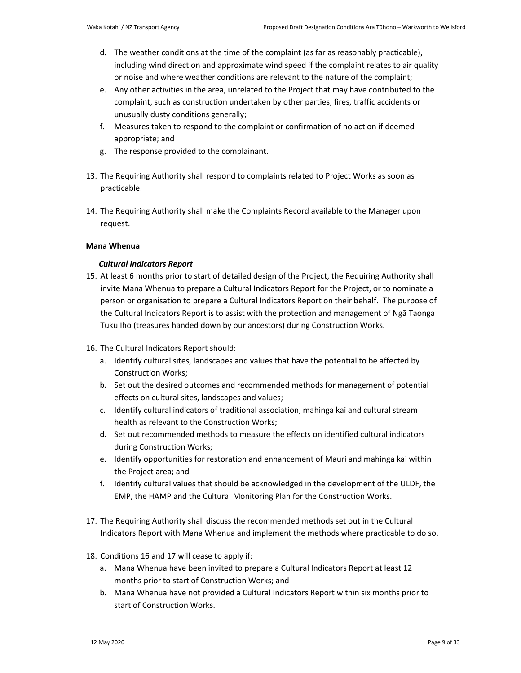- d. The weather conditions at the time of the complaint (as far as reasonably practicable), including wind direction and approximate wind speed if the complaint relates to air quality or noise and where weather conditions are relevant to the nature of the complaint;
- e. Any other activities in the area, unrelated to the Project that may have contributed to the complaint, such as construction undertaken by other parties, fires, traffic accidents or unusually dusty conditions generally;
- f. Measures taken to respond to the complaint or confirmation of no action if deemed appropriate; and
- g. The response provided to the complainant.
- 13. The Requiring Authority shall respond to complaints related to Project Works as soon as practicable.
- 14. The Requiring Authority shall make the Complaints Record available to the Manager upon request.

## **Mana Whenua**

## *Cultural Indicators Report*

- 15. At least 6 months prior to start of detailed design of the Project, the Requiring Authority shall invite Mana Whenua to prepare a Cultural Indicators Report for the Project, or to nominate a person or organisation to prepare a Cultural Indicators Report on their behalf. The purpose of the Cultural Indicators Report is to assist with the protection and management of Ngā Taonga Tuku Iho (treasures handed down by our ancestors) during Construction Works.
- 16. The Cultural Indicators Report should:
	- a. Identify cultural sites, landscapes and values that have the potential to be affected by Construction Works;
	- b. Set out the desired outcomes and recommended methods for management of potential effects on cultural sites, landscapes and values;
	- c. Identify cultural indicators of traditional association, mahinga kai and cultural stream health as relevant to the Construction Works;
	- d. Set out recommended methods to measure the effects on identified cultural indicators during Construction Works;
	- e. Identify opportunities for restoration and enhancement of Mauri and mahinga kai within the Project area; and
	- f. Identify cultural values that should be acknowledged in the development of the ULDF, the EMP, the HAMP and the Cultural Monitoring Plan for the Construction Works.
- 17. The Requiring Authority shall discuss the recommended methods set out in the Cultural Indicators Report with Mana Whenua and implement the methods where practicable to do so.
- 18. Conditions 16 and 17 will cease to apply if:
	- a. Mana Whenua have been invited to prepare a Cultural Indicators Report at least 12 months prior to start of Construction Works; and
	- b. Mana Whenua have not provided a Cultural Indicators Report within six months prior to start of Construction Works.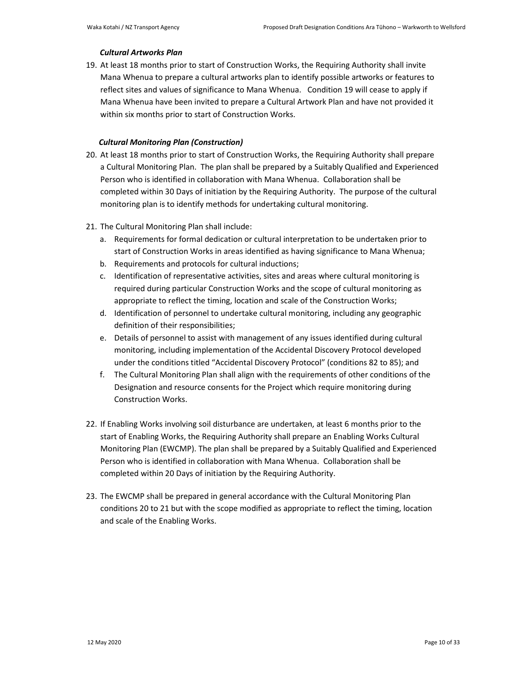### *Cultural Artworks Plan*

19. At least 18 months prior to start of Construction Works, the Requiring Authority shall invite Mana Whenua to prepare a cultural artworks plan to identify possible artworks or features to reflect sites and values of significance to Mana Whenua. Condition 19 will cease to apply if Mana Whenua have been invited to prepare a Cultural Artwork Plan and have not provided it within six months prior to start of Construction Works.

## *Cultural Monitoring Plan (Construction)*

- 20. At least 18 months prior to start of Construction Works, the Requiring Authority shall prepare a Cultural Monitoring Plan. The plan shall be prepared by a Suitably Qualified and Experienced Person who is identified in collaboration with Mana Whenua. Collaboration shall be completed within 30 Days of initiation by the Requiring Authority. The purpose of the cultural monitoring plan is to identify methods for undertaking cultural monitoring.
- 21. The Cultural Monitoring Plan shall include:
	- a. Requirements for formal dedication or cultural interpretation to be undertaken prior to start of Construction Works in areas identified as having significance to Mana Whenua;
	- b. Requirements and protocols for cultural inductions;
	- c. Identification of representative activities, sites and areas where cultural monitoring is required during particular Construction Works and the scope of cultural monitoring as appropriate to reflect the timing, location and scale of the Construction Works;
	- d. Identification of personnel to undertake cultural monitoring, including any geographic definition of their responsibilities;
	- e. Details of personnel to assist with management of any issues identified during cultural monitoring, including implementation of the Accidental Discovery Protocol developed under the conditions titled "Accidental Discovery Protocol" (conditions 82 to 85); and
	- f. The Cultural Monitoring Plan shall align with the requirements of other conditions of the Designation and resource consents for the Project which require monitoring during Construction Works.
- 22. If Enabling Works involving soil disturbance are undertaken, at least 6 months prior to the start of Enabling Works, the Requiring Authority shall prepare an Enabling Works Cultural Monitoring Plan (EWCMP). The plan shall be prepared by a Suitably Qualified and Experienced Person who is identified in collaboration with Mana Whenua. Collaboration shall be completed within 20 Days of initiation by the Requiring Authority.
- 23. The EWCMP shall be prepared in general accordance with the Cultural Monitoring Plan conditions 20 to 21 but with the scope modified as appropriate to reflect the timing, location and scale of the Enabling Works.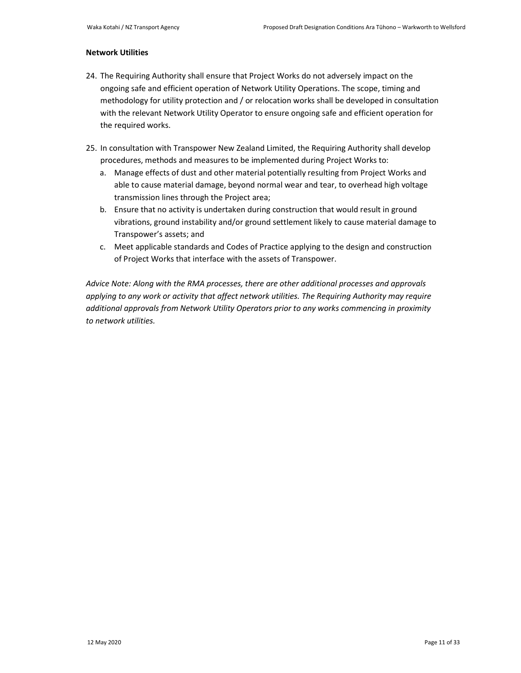### **Network Utilities**

- 24. The Requiring Authority shall ensure that Project Works do not adversely impact on the ongoing safe and efficient operation of Network Utility Operations. The scope, timing and methodology for utility protection and / or relocation works shall be developed in consultation with the relevant Network Utility Operator to ensure ongoing safe and efficient operation for the required works.
- 25. In consultation with Transpower New Zealand Limited, the Requiring Authority shall develop procedures, methods and measures to be implemented during Project Works to:
	- a. Manage effects of dust and other material potentially resulting from Project Works and able to cause material damage, beyond normal wear and tear, to overhead high voltage transmission lines through the Project area;
	- b. Ensure that no activity is undertaken during construction that would result in ground vibrations, ground instability and/or ground settlement likely to cause material damage to Transpower's assets; and
	- c. Meet applicable standards and Codes of Practice applying to the design and construction of Project Works that interface with the assets of Transpower.

*Advice Note: Along with the RMA processes, there are other additional processes and approvals applying to any work or activity that affect network utilities. The Requiring Authority may require additional approvals from Network Utility Operators prior to any works commencing in proximity to network utilities.*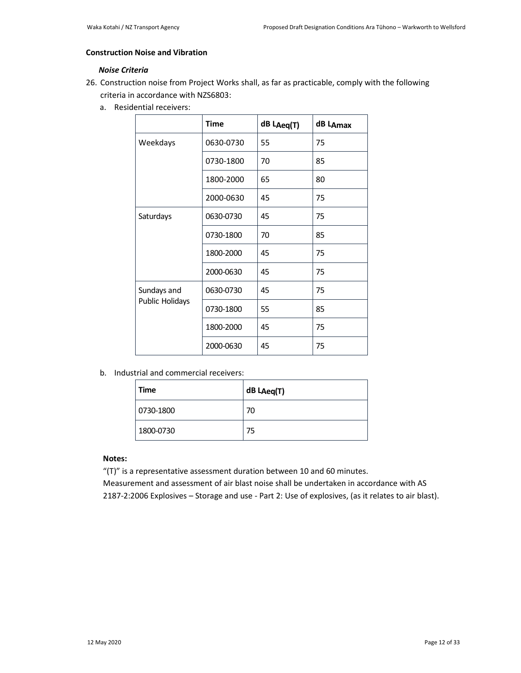# **Construction Noise and Vibration**

# *Noise Criteria*

- 26. Construction noise from Project Works shall, as far as practicable, comply with the following criteria in accordance with NZS6803:
	- a. Residential receivers:

|                        | <b>Time</b> | dB LAeq(T) | dB LAmax |
|------------------------|-------------|------------|----------|
| Weekdays               | 0630-0730   | 55         | 75       |
|                        | 0730-1800   | 70         | 85       |
|                        | 1800-2000   | 65         | 80       |
|                        | 2000-0630   | 45         | 75       |
| Saturdays              | 0630-0730   | 45         | 75       |
|                        | 0730-1800   | 70         | 85       |
|                        | 1800-2000   | 45         | 75       |
|                        | 2000-0630   | 45         | 75       |
| Sundays and            | 0630-0730   | 45         | 75       |
| <b>Public Holidays</b> | 0730-1800   | 55         | 85       |
|                        | 1800-2000   | 45         | 75       |
|                        | 2000-0630   | 45         | 75       |

b. Industrial and commercial receivers:

| Time      | dB LAeq(T) |
|-----------|------------|
| 0730-1800 | 70         |
| 1800-0730 | 75         |

## **Notes:**

"(T)" is a representative assessment duration between 10 and 60 minutes.

Measurement and assessment of air blast noise shall be undertaken in accordance with AS 2187-2:2006 Explosives – Storage and use - Part 2: Use of explosives, (as it relates to air blast).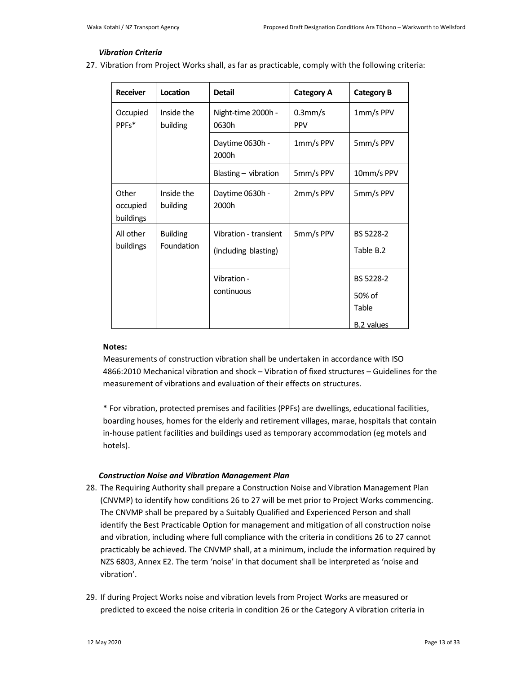#### *Vibration Criteria*

27. Vibration from Project Works shall, as far as practicable, comply with the following criteria:

| <b>Receiver</b>                | Location                      | <b>Detail</b>                                 | <b>Category A</b>        | <b>Category B</b>                                 |
|--------------------------------|-------------------------------|-----------------------------------------------|--------------------------|---------------------------------------------------|
| Occupied<br>PPF <sub>S</sub> * | Inside the<br>building        | Night-time 2000h -<br>0630h                   | $0.3$ mm/s<br><b>PPV</b> | 1mm/s PPV                                         |
|                                |                               | Daytime 0630h -<br>2000h                      | 1mm/s PPV                | 5mm/s PPV                                         |
|                                |                               | Blasting $-$ vibration                        | 5mm/s PPV                | 10mm/s PPV                                        |
| Other<br>occupied<br>buildings | Inside the<br>building        | Daytime 0630h -<br>2000h                      | 2mm/s PPV                | 5mm/s PPV                                         |
| All other<br>buildings         | <b>Building</b><br>Foundation | Vibration - transient<br>(including blasting) | 5mm/s PPV                | BS 5228-2<br>Table B.2                            |
|                                |                               | Vibration -<br>continuous                     |                          | BS 5228-2<br>50% of<br>Table<br><b>B.2</b> values |

#### **Notes:**

Measurements of construction vibration shall be undertaken in accordance with ISO 4866:2010 Mechanical vibration and shock – Vibration of fixed structures – Guidelines for the measurement of vibrations and evaluation of their effects on structures.

\* For vibration, protected premises and facilities (PPFs) are dwellings, educational facilities, boarding houses, homes for the elderly and retirement villages, marae, hospitals that contain in-house patient facilities and buildings used as temporary accommodation (eg motels and hotels).

### *Construction Noise and Vibration Management Plan*

- 28. The Requiring Authority shall prepare a Construction Noise and Vibration Management Plan (CNVMP) to identify how conditions 26 to 27 will be met prior to Project Works commencing. The CNVMP shall be prepared by a Suitably Qualified and Experienced Person and shall identify the Best Practicable Option for management and mitigation of all construction noise and vibration, including where full compliance with the criteria in conditions 26 to 27 cannot practicably be achieved. The CNVMP shall, at a minimum, include the information required by NZS 6803, Annex E2. The term 'noise' in that document shall be interpreted as 'noise and vibration'.
- 29. If during Project Works noise and vibration levels from Project Works are measured or predicted to exceed the noise criteria in condition 26 or the Category A vibration criteria in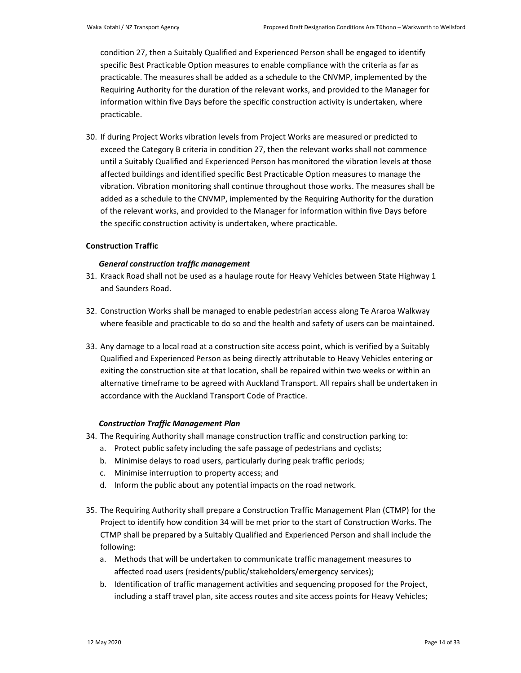condition 27, then a Suitably Qualified and Experienced Person shall be engaged to identify specific Best Practicable Option measures to enable compliance with the criteria as far as practicable. The measures shall be added as a schedule to the CNVMP, implemented by the Requiring Authority for the duration of the relevant works, and provided to the Manager for information within five Days before the specific construction activity is undertaken, where practicable.

30. If during Project Works vibration levels from Project Works are measured or predicted to exceed the Category B criteria in condition 27, then the relevant works shall not commence until a Suitably Qualified and Experienced Person has monitored the vibration levels at those affected buildings and identified specific Best Practicable Option measures to manage the vibration. Vibration monitoring shall continue throughout those works. The measures shall be added as a schedule to the CNVMP, implemented by the Requiring Authority for the duration of the relevant works, and provided to the Manager for information within five Days before the specific construction activity is undertaken, where practicable.

#### **Construction Traffic**

### *General construction traffic management*

- 31. Kraack Road shall not be used as a haulage route for Heavy Vehicles between State Highway 1 and Saunders Road.
- 32. Construction Works shall be managed to enable pedestrian access along Te Araroa Walkway where feasible and practicable to do so and the health and safety of users can be maintained.
- 33. Any damage to a local road at a construction site access point, which is verified by a Suitably Qualified and Experienced Person as being directly attributable to Heavy Vehicles entering or exiting the construction site at that location, shall be repaired within two weeks or within an alternative timeframe to be agreed with Auckland Transport. All repairs shall be undertaken in accordance with the Auckland Transport Code of Practice.

#### *Construction Traffic Management Plan*

- 34. The Requiring Authority shall manage construction traffic and construction parking to:
	- a. Protect public safety including the safe passage of pedestrians and cyclists;
	- b. Minimise delays to road users, particularly during peak traffic periods;
	- c. Minimise interruption to property access; and
	- d. Inform the public about any potential impacts on the road network.
- 35. The Requiring Authority shall prepare a Construction Traffic Management Plan (CTMP) for the Project to identify how condition 34 will be met prior to the start of Construction Works. The CTMP shall be prepared by a Suitably Qualified and Experienced Person and shall include the following:
	- a. Methods that will be undertaken to communicate traffic management measures to affected road users (residents/public/stakeholders/emergency services);
	- b. Identification of traffic management activities and sequencing proposed for the Project, including a staff travel plan, site access routes and site access points for Heavy Vehicles;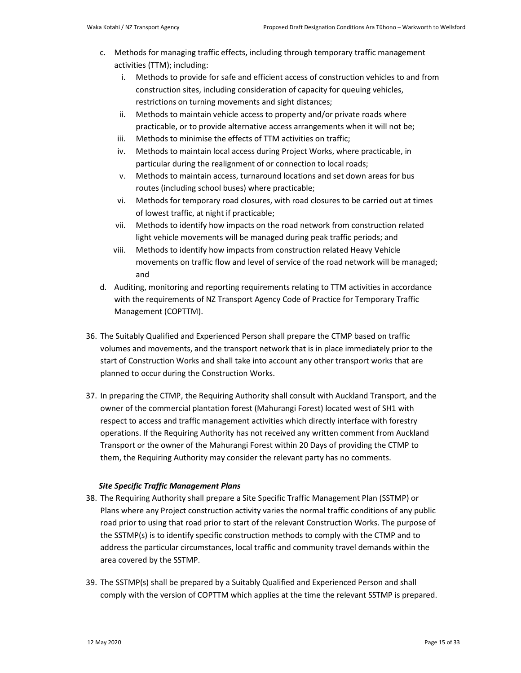- c. Methods for managing traffic effects, including through temporary traffic management activities (TTM); including:
	- i. Methods to provide for safe and efficient access of construction vehicles to and from construction sites, including consideration of capacity for queuing vehicles, restrictions on turning movements and sight distances;
	- ii. Methods to maintain vehicle access to property and/or private roads where practicable, or to provide alternative access arrangements when it will not be;
	- iii. Methods to minimise the effects of TTM activities on traffic;
	- iv. Methods to maintain local access during Project Works, where practicable, in particular during the realignment of or connection to local roads;
	- v. Methods to maintain access, turnaround locations and set down areas for bus routes (including school buses) where practicable;
	- vi. Methods for temporary road closures, with road closures to be carried out at times of lowest traffic, at night if practicable;
	- vii. Methods to identify how impacts on the road network from construction related light vehicle movements will be managed during peak traffic periods; and
	- viii. Methods to identify how impacts from construction related Heavy Vehicle movements on traffic flow and level of service of the road network will be managed; and
- d. Auditing, monitoring and reporting requirements relating to TTM activities in accordance with the requirements of NZ Transport Agency Code of Practice for Temporary Traffic Management (COPTTM).
- 36. The Suitably Qualified and Experienced Person shall prepare the CTMP based on traffic volumes and movements, and the transport network that is in place immediately prior to the start of Construction Works and shall take into account any other transport works that are planned to occur during the Construction Works.
- 37. In preparing the CTMP, the Requiring Authority shall consult with Auckland Transport, and the owner of the commercial plantation forest (Mahurangi Forest) located west of SH1 with respect to access and traffic management activities which directly interface with forestry operations. If the Requiring Authority has not received any written comment from Auckland Transport or the owner of the Mahurangi Forest within 20 Days of providing the CTMP to them, the Requiring Authority may consider the relevant party has no comments.

### *Site Specific Traffic Management Plans*

- 38. The Requiring Authority shall prepare a Site Specific Traffic Management Plan (SSTMP) or Plans where any Project construction activity varies the normal traffic conditions of any public road prior to using that road prior to start of the relevant Construction Works. The purpose of the SSTMP(s) is to identify specific construction methods to comply with the CTMP and to address the particular circumstances, local traffic and community travel demands within the area covered by the SSTMP.
- 39. The SSTMP(s) shall be prepared by a Suitably Qualified and Experienced Person and shall comply with the version of COPTTM which applies at the time the relevant SSTMP is prepared.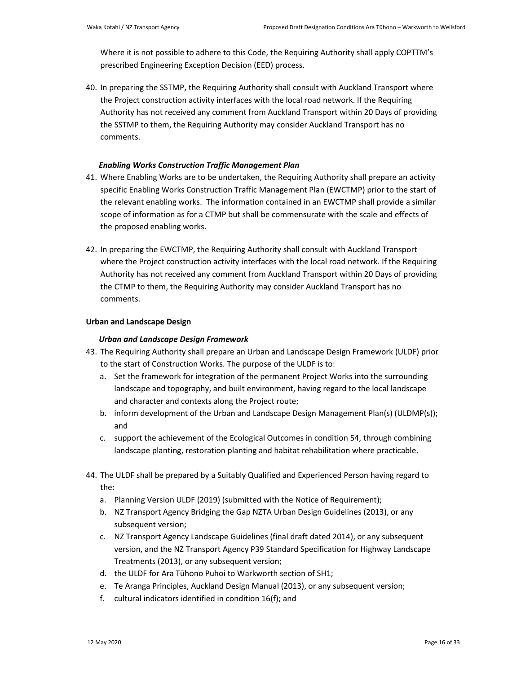Where it is not possible to adhere to this Code, the Requiring Authority shall apply COPTTM's prescribed Engineering Exception Decision (EED) process.

40. In preparing the SSTMP, the Requiring Authority shall consult with Auckland Transport where the Project construction activity interfaces with the local road network. If the Requiring Authority has not received any comment from Auckland Transport within 20 Days of providing the SSTMP to them, the Requiring Authority may consider Auckland Transport has no comments.

### *Enabling Works Construction Traffic Management Plan*

- 41. Where Enabling Works are to be undertaken, the Requiring Authority shall prepare an activity specific Enabling Works Construction Traffic Management Plan (EWCTMP) prior to the start of the relevant enabling works. The information contained in an EWCTMP shall provide a similar scope of information as for a CTMP but shall be commensurate with the scale and effects of the proposed enabling works.
- 42. In preparing the EWCTMP, the Requiring Authority shall consult with Auckland Transport where the Project construction activity interfaces with the local road network. If the Requiring Authority has not received any comment from Auckland Transport within 20 Days of providing the CTMP to them, the Requiring Authority may consider Auckland Transport has no comments.

### **Urban and Landscape Design**

### *Urban and Landscape Design Framework*

- 43. The Requiring Authority shall prepare an Urban and Landscape Design Framework (ULDF) prior to the start of Construction Works. The purpose of the ULDF is to:
	- a. Set the framework for integration of the permanent Project Works into the surrounding landscape and topography, and built environment, having regard to the local landscape and character and contexts along the Project route;
	- b. inform development of the Urban and Landscape Design Management Plan(s) (ULDMP(s)); and
	- c. support the achievement of the Ecological Outcomes in condition 54, through combining landscape planting, restoration planting and habitat rehabilitation where practicable.
- 44. The ULDF shall be prepared by a Suitably Qualified and Experienced Person having regard to the:
	- a. Planning Version ULDF (2019) (submitted with the Notice of Requirement);
	- b. NZ Transport Agency Bridging the Gap NZTA Urban Design Guidelines (2013), or any subsequent version;
	- c. NZ Transport Agency Landscape Guidelines (final draft dated 2014), or any subsequent version, and the NZ Transport Agency P39 Standard Specification for Highway Landscape Treatments (2013), or any subsequent version;
	- d. the ULDF for Ara Tūhono Puhoi to Warkworth section of SH1;
	- e. Te Aranga Principles, Auckland Design Manual (2013), or any subsequent version;
	- f. cultural indicators identified in condition 16(f); and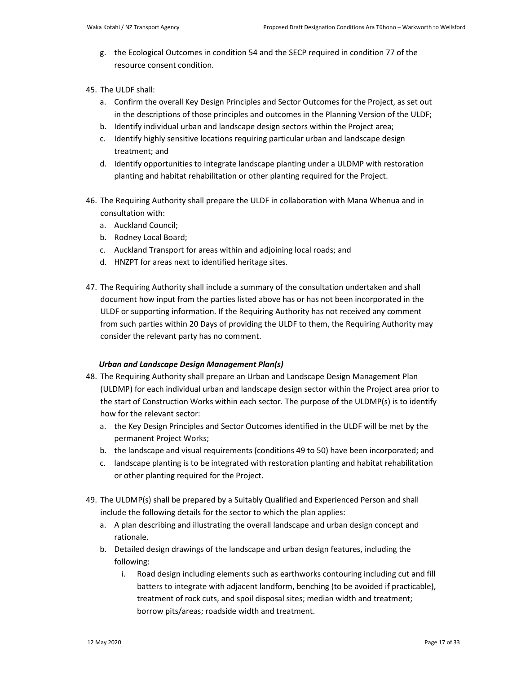- g. the Ecological Outcomes in condition 54 and the SECP required in condition 77 of the resource consent condition.
- 45. The ULDF shall:
	- a. Confirm the overall Key Design Principles and Sector Outcomes for the Project, as set out in the descriptions of those principles and outcomes in the Planning Version of the ULDF;
	- b. Identify individual urban and landscape design sectors within the Project area;
	- c. Identify highly sensitive locations requiring particular urban and landscape design treatment; and
	- d. Identify opportunities to integrate landscape planting under a ULDMP with restoration planting and habitat rehabilitation or other planting required for the Project.
- 46. The Requiring Authority shall prepare the ULDF in collaboration with Mana Whenua and in consultation with:
	- a. Auckland Council;
	- b. Rodney Local Board;
	- c. Auckland Transport for areas within and adjoining local roads; and
	- d. HNZPT for areas next to identified heritage sites.
- 47. The Requiring Authority shall include a summary of the consultation undertaken and shall document how input from the parties listed above has or has not been incorporated in the ULDF or supporting information. If the Requiring Authority has not received any comment from such parties within 20 Days of providing the ULDF to them, the Requiring Authority may consider the relevant party has no comment.

## *Urban and Landscape Design Management Plan(s)*

- 48. The Requiring Authority shall prepare an Urban and Landscape Design Management Plan (ULDMP) for each individual urban and landscape design sector within the Project area prior to the start of Construction Works within each sector. The purpose of the ULDMP(s) is to identify how for the relevant sector:
	- a. the Key Design Principles and Sector Outcomes identified in the ULDF will be met by the permanent Project Works;
	- b. the landscape and visual requirements (conditions 49 to 50) have been incorporated; and
	- c. landscape planting is to be integrated with restoration planting and habitat rehabilitation or other planting required for the Project.
- 49. The ULDMP(s) shall be prepared by a Suitably Qualified and Experienced Person and shall include the following details for the sector to which the plan applies:
	- a. A plan describing and illustrating the overall landscape and urban design concept and rationale.
	- b. Detailed design drawings of the landscape and urban design features, including the following:
		- i. Road design including elements such as earthworks contouring including cut and fill batters to integrate with adjacent landform, benching (to be avoided if practicable), treatment of rock cuts, and spoil disposal sites; median width and treatment; borrow pits/areas; roadside width and treatment.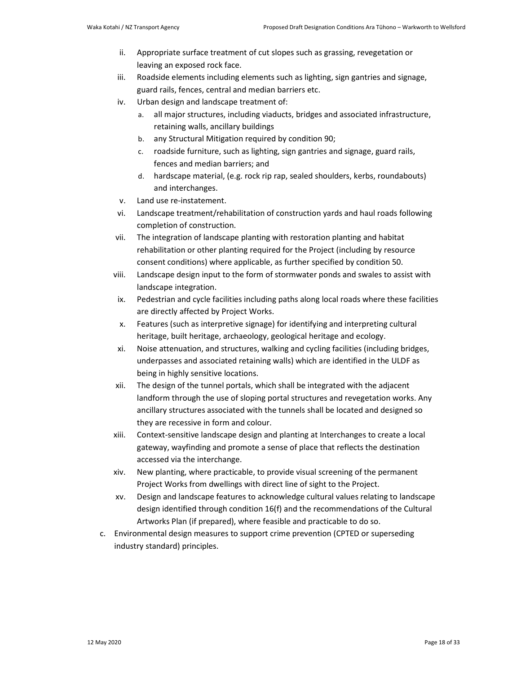ii. Appropriate surface treatment of cut slopes such as grassing, revegetation or leaving an exposed rock face.

iii. Roadside elements including elements such as lighting, sign gantries and signage, guard rails, fences, central and median barriers etc.

- iv. Urban design and landscape treatment of:
	- a. all major structures, including viaducts, bridges and associated infrastructure, retaining walls, ancillary buildings
	- b. any Structural Mitigation required by condition 90;
	- c. roadside furniture, such as lighting, sign gantries and signage, guard rails, fences and median barriers; and
	- d. hardscape material, (e.g. rock rip rap, sealed shoulders, kerbs, roundabouts) and interchanges.
- v. Land use re-instatement.
- vi. Landscape treatment/rehabilitation of construction yards and haul roads following completion of construction.
- vii. The integration of landscape planting with restoration planting and habitat rehabilitation or other planting required for the Project (including by resource consent conditions) where applicable, as further specified by condition 50.
- viii. Landscape design input to the form of stormwater ponds and swales to assist with landscape integration.
- ix. Pedestrian and cycle facilities including paths along local roads where these facilities are directly affected by Project Works.
- x. Features (such as interpretive signage) for identifying and interpreting cultural heritage, built heritage, archaeology, geological heritage and ecology.
- xi. Noise attenuation, and structures, walking and cycling facilities (including bridges, underpasses and associated retaining walls) which are identified in the ULDF as being in highly sensitive locations.
- xii. The design of the tunnel portals, which shall be integrated with the adjacent landform through the use of sloping portal structures and revegetation works. Any ancillary structures associated with the tunnels shall be located and designed so they are recessive in form and colour.
- xiii. Context-sensitive landscape design and planting at Interchanges to create a local gateway, wayfinding and promote a sense of place that reflects the destination accessed via the interchange.
- xiv. New planting, where practicable, to provide visual screening of the permanent Project Works from dwellings with direct line of sight to the Project.
- xv. Design and landscape features to acknowledge cultural values relating to landscape design identified through condition 16(f) and the recommendations of the Cultural Artworks Plan (if prepared), where feasible and practicable to do so.
- c. Environmental design measures to support crime prevention (CPTED or superseding industry standard) principles.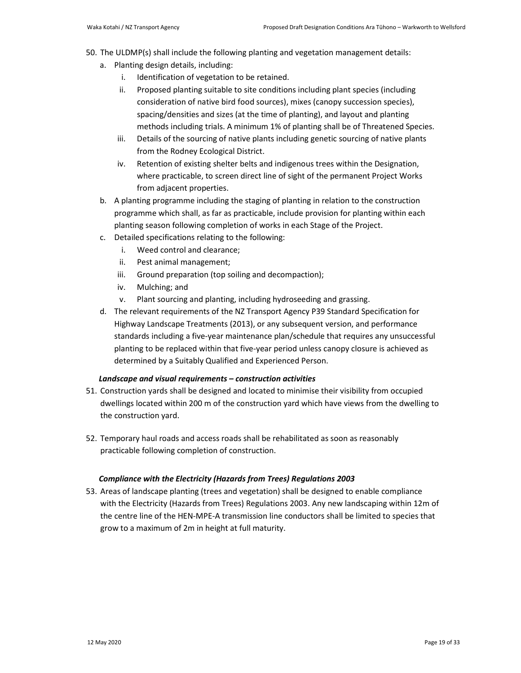- 50. The ULDMP(s) shall include the following planting and vegetation management details:
	- a. Planting design details, including:
		- i. Identification of vegetation to be retained.
		- ii. Proposed planting suitable to site conditions including plant species (including consideration of native bird food sources), mixes (canopy succession species), spacing/densities and sizes (at the time of planting), and layout and planting methods including trials. A minimum 1% of planting shall be of Threatened Species.
		- iii. Details of the sourcing of native plants including genetic sourcing of native plants from the Rodney Ecological District.
		- iv. Retention of existing shelter belts and indigenous trees within the Designation, where practicable, to screen direct line of sight of the permanent Project Works from adjacent properties.
	- b. A planting programme including the staging of planting in relation to the construction programme which shall, as far as practicable, include provision for planting within each planting season following completion of works in each Stage of the Project.
	- c. Detailed specifications relating to the following:
		- i. Weed control and clearance;
		- ii. Pest animal management;
		- iii. Ground preparation (top soiling and decompaction);
		- iv. Mulching; and
		- v. Plant sourcing and planting, including hydroseeding and grassing.
	- d. The relevant requirements of the NZ Transport Agency P39 Standard Specification for Highway Landscape Treatments (2013), or any subsequent version, and performance standards including a five-year maintenance plan/schedule that requires any unsuccessful planting to be replaced within that five-year period unless canopy closure is achieved as determined by a Suitably Qualified and Experienced Person.

## *Landscape and visual requirements – construction activities*

- 51. Construction yards shall be designed and located to minimise their visibility from occupied dwellings located within 200 m of the construction yard which have views from the dwelling to the construction yard.
- 52. Temporary haul roads and access roads shall be rehabilitated as soon as reasonably practicable following completion of construction.

## *Compliance with the Electricity (Hazards from Trees) Regulations 2003*

53. Areas of landscape planting (trees and vegetation) shall be designed to enable compliance with the Electricity (Hazards from Trees) Regulations 2003. Any new landscaping within 12m of the centre line of the HEN-MPE-A transmission line conductors shall be limited to species that grow to a maximum of 2m in height at full maturity.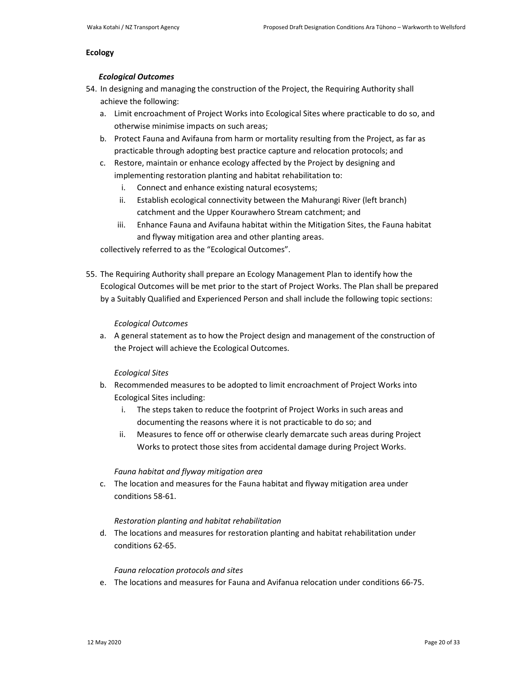#### **Ecology**

#### *Ecological Outcomes*

- 54. In designing and managing the construction of the Project, the Requiring Authority shall achieve the following:
	- a. Limit encroachment of Project Works into Ecological Sites where practicable to do so, and otherwise minimise impacts on such areas;
	- b. Protect Fauna and Avifauna from harm or mortality resulting from the Project, as far as practicable through adopting best practice capture and relocation protocols; and
	- c. Restore, maintain or enhance ecology affected by the Project by designing and implementing restoration planting and habitat rehabilitation to:
		- i. Connect and enhance existing natural ecosystems;
		- ii. Establish ecological connectivity between the Mahurangi River (left branch) catchment and the Upper Kourawhero Stream catchment; and
		- iii. Enhance Fauna and Avifauna habitat within the Mitigation Sites, the Fauna habitat and flyway mitigation area and other planting areas.

collectively referred to as the "Ecological Outcomes".

55. The Requiring Authority shall prepare an Ecology Management Plan to identify how the Ecological Outcomes will be met prior to the start of Project Works. The Plan shall be prepared by a Suitably Qualified and Experienced Person and shall include the following topic sections:

### *Ecological Outcomes*

a. A general statement as to how the Project design and management of the construction of the Project will achieve the Ecological Outcomes.

### *Ecological Sites*

- b. Recommended measures to be adopted to limit encroachment of Project Works into Ecological Sites including:
	- i. The steps taken to reduce the footprint of Project Works in such areas and documenting the reasons where it is not practicable to do so; and
	- ii. Measures to fence off or otherwise clearly demarcate such areas during Project Works to protect those sites from accidental damage during Project Works.

## *Fauna habitat and flyway mitigation area*

c. The location and measures for the Fauna habitat and flyway mitigation area under conditions 58-61.

### *Restoration planting and habitat rehabilitation*

d. The locations and measures for restoration planting and habitat rehabilitation under conditions 62-65.

## *Fauna relocation protocols and sites*

e. The locations and measures for Fauna and Avifanua relocation under conditions 66-75.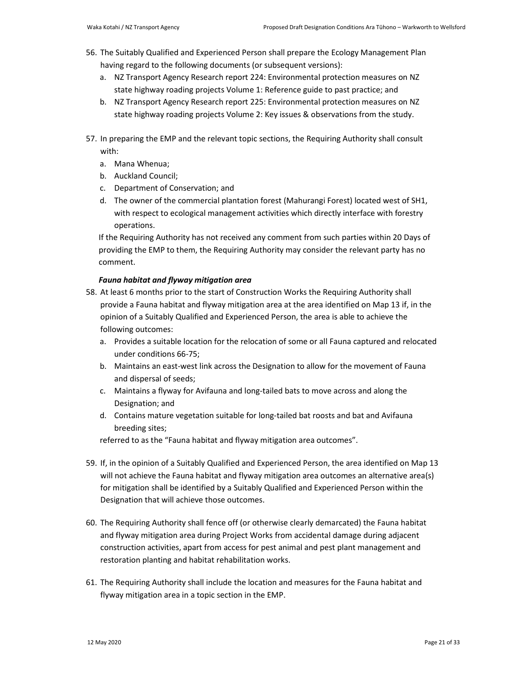- 56. The Suitably Qualified and Experienced Person shall prepare the Ecology Management Plan having regard to the following documents (or subsequent versions):
	- a. NZ Transport Agency Research report 224: Environmental protection measures on NZ state highway roading projects Volume 1: Reference guide to past practice; and
	- b. NZ Transport Agency Research report 225: Environmental protection measures on NZ state highway roading projects Volume 2: Key issues & observations from the study.

57. In preparing the EMP and the relevant topic sections, the Requiring Authority shall consult with:

- a. Mana Whenua;
- b. Auckland Council;
- c. Department of Conservation; and
- d. The owner of the commercial plantation forest (Mahurangi Forest) located west of SH1, with respect to ecological management activities which directly interface with forestry operations.

If the Requiring Authority has not received any comment from such parties within 20 Days of providing the EMP to them, the Requiring Authority may consider the relevant party has no comment.

## *Fauna habitat and flyway mitigation area*

- 58. At least 6 months prior to the start of Construction Works the Requiring Authority shall provide a Fauna habitat and flyway mitigation area at the area identified on Map 13 if, in the opinion of a Suitably Qualified and Experienced Person, the area is able to achieve the following outcomes:
	- a. Provides a suitable location for the relocation of some or all Fauna captured and relocated under conditions 66-75;
	- b. Maintains an east-west link across the Designation to allow for the movement of Fauna and dispersal of seeds;
	- c. Maintains a flyway for Avifauna and long-tailed bats to move across and along the Designation; and
	- d. Contains mature vegetation suitable for long-tailed bat roosts and bat and Avifauna breeding sites;

referred to as the "Fauna habitat and flyway mitigation area outcomes".

- 59. If, in the opinion of a Suitably Qualified and Experienced Person, the area identified on Map 13 will not achieve the Fauna habitat and flyway mitigation area outcomes an alternative area(s) for mitigation shall be identified by a Suitably Qualified and Experienced Person within the Designation that will achieve those outcomes.
- 60. The Requiring Authority shall fence off (or otherwise clearly demarcated) the Fauna habitat and flyway mitigation area during Project Works from accidental damage during adjacent construction activities, apart from access for pest animal and pest plant management and restoration planting and habitat rehabilitation works.
- 61. The Requiring Authority shall include the location and measures for the Fauna habitat and flyway mitigation area in a topic section in the EMP.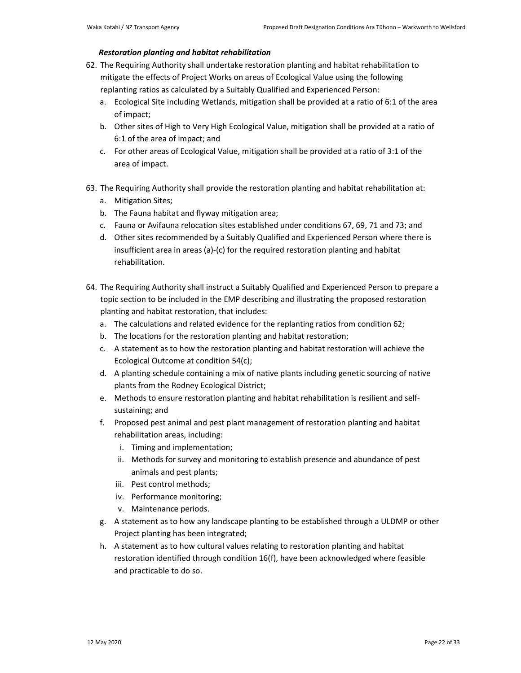### *Restoration planting and habitat rehabilitation*

- 62. The Requiring Authority shall undertake restoration planting and habitat rehabilitation to mitigate the effects of Project Works on areas of Ecological Value using the following replanting ratios as calculated by a Suitably Qualified and Experienced Person:
	- a. Ecological Site including Wetlands, mitigation shall be provided at a ratio of 6:1 of the area of impact;
	- b. Other sites of High to Very High Ecological Value, mitigation shall be provided at a ratio of 6:1 of the area of impact; and
	- c. For other areas of Ecological Value, mitigation shall be provided at a ratio of 3:1 of the area of impact.
- 63. The Requiring Authority shall provide the restoration planting and habitat rehabilitation at:
	- a. Mitigation Sites;
	- b. The Fauna habitat and flyway mitigation area;
	- c. Fauna or Avifauna relocation sites established under conditions 67, 69, 71 and 73; and
	- d. Other sites recommended by a Suitably Qualified and Experienced Person where there is insufficient area in areas (a)-(c) for the required restoration planting and habitat rehabilitation.
- 64. The Requiring Authority shall instruct a Suitably Qualified and Experienced Person to prepare a topic section to be included in the EMP describing and illustrating the proposed restoration planting and habitat restoration, that includes:
	- a. The calculations and related evidence for the replanting ratios from condition 62;
	- b. The locations for the restoration planting and habitat restoration;
	- c. A statement as to how the restoration planting and habitat restoration will achieve the Ecological Outcome at condition 54(c);
	- d. A planting schedule containing a mix of native plants including genetic sourcing of native plants from the Rodney Ecological District;
	- e. Methods to ensure restoration planting and habitat rehabilitation is resilient and selfsustaining; and
	- f. Proposed pest animal and pest plant management of restoration planting and habitat rehabilitation areas, including:
		- i. Timing and implementation;
		- ii. Methods for survey and monitoring to establish presence and abundance of pest animals and pest plants;
		- iii. Pest control methods;
		- iv. Performance monitoring;
		- v. Maintenance periods.
	- g. A statement as to how any landscape planting to be established through a ULDMP or other Project planting has been integrated;
	- h. A statement as to how cultural values relating to restoration planting and habitat restoration identified through condition 16(f), have been acknowledged where feasible and practicable to do so.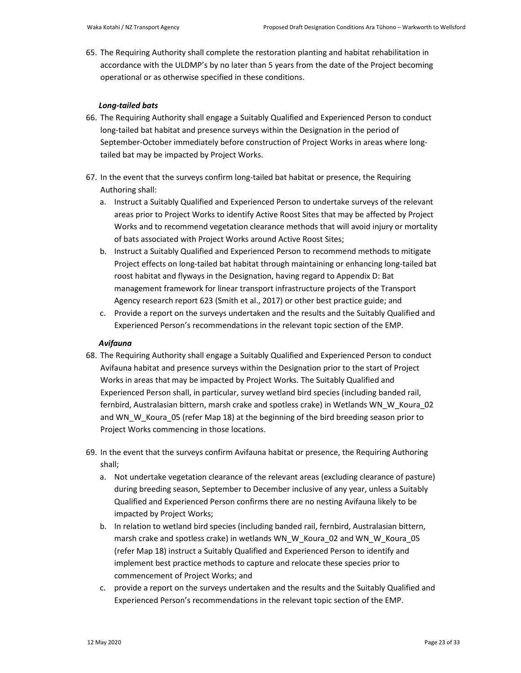65. The Requiring Authority shall complete the restoration planting and habitat rehabilitation in accordance with the ULDMP's by no later than 5 years from the date of the Project becoming operational or as otherwise specified in these conditions.

## *Long-tailed bats*

- 66. The Requiring Authority shall engage a Suitably Qualified and Experienced Person to conduct long-tailed bat habitat and presence surveys within the Designation in the period of September-October immediately before construction of Project Works in areas where longtailed bat may be impacted by Project Works.
- 67. In the event that the surveys confirm long-tailed bat habitat or presence, the Requiring Authoring shall:
	- a. Instruct a Suitably Qualified and Experienced Person to undertake surveys of the relevant areas prior to Project Works to identify Active Roost Sites that may be affected by Project Works and to recommend vegetation clearance methods that will avoid injury or mortality of bats associated with Project Works around Active Roost Sites;
	- b. Instruct a Suitably Qualified and Experienced Person to recommend methods to mitigate Project effects on long-tailed bat habitat through maintaining or enhancing long-tailed bat roost habitat and flyways in the Designation, having regard to Appendix D: Bat management framework for linear transport infrastructure projects of the Transport Agency research report 623 (Smith et al., 2017) or other best practice guide; and
	- c. Provide a report on the surveys undertaken and the results and the Suitably Qualified and Experienced Person's recommendations in the relevant topic section of the EMP.

## *Avifauna*

- 68. The Requiring Authority shall engage a Suitably Qualified and Experienced Person to conduct Avifauna habitat and presence surveys within the Designation prior to the start of Project Works in areas that may be impacted by Project Works. The Suitably Qualified and Experienced Person shall, in particular, survey wetland bird species (including banded rail, fernbird, Australasian bittern, marsh crake and spotless crake) in Wetlands WN\_W\_Koura\_02 and WN\_W\_Koura\_05 (refer Map 18) at the beginning of the bird breeding season prior to Project Works commencing in those locations.
- 69. In the event that the surveys confirm Avifauna habitat or presence, the Requiring Authoring shall;
	- a. Not undertake vegetation clearance of the relevant areas (excluding clearance of pasture) during breeding season, September to December inclusive of any year, unless a Suitably Qualified and Experienced Person confirms there are no nesting Avifauna likely to be impacted by Project Works;
	- b. In relation to wetland bird species (including banded rail, fernbird, Australasian bittern, marsh crake and spotless crake) in wetlands WN\_W\_Koura\_02 and WN\_W\_Koura\_05 (refer Map 18) instruct a Suitably Qualified and Experienced Person to identify and implement best practice methods to capture and relocate these species prior to commencement of Project Works; and
	- c. provide a report on the surveys undertaken and the results and the Suitably Qualified and Experienced Person's recommendations in the relevant topic section of the EMP.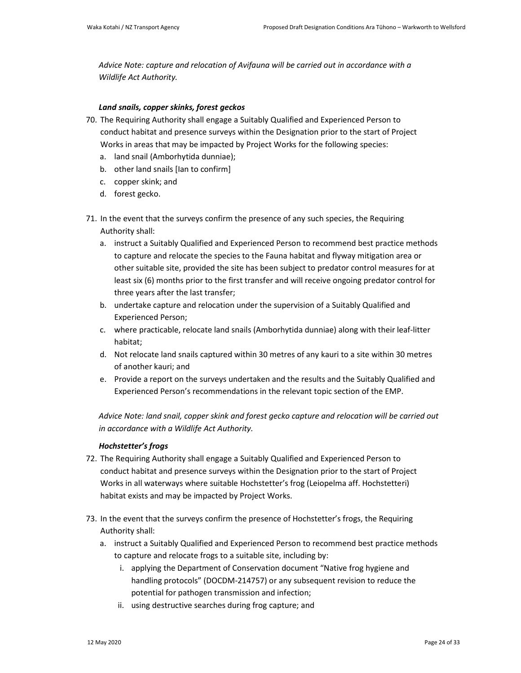*Advice Note: capture and relocation of Avifauna will be carried out in accordance with a Wildlife Act Authority.* 

## *Land snails, copper skinks, forest geckos*

- 70. The Requiring Authority shall engage a Suitably Qualified and Experienced Person to conduct habitat and presence surveys within the Designation prior to the start of Project Works in areas that may be impacted by Project Works for the following species:
	- a. land snail (Amborhytida dunniae);
	- b. other land snails [Ian to confirm]
	- c. copper skink; and
	- d. forest gecko.
- 71. In the event that the surveys confirm the presence of any such species, the Requiring Authority shall:
	- a. instruct a Suitably Qualified and Experienced Person to recommend best practice methods to capture and relocate the species to the Fauna habitat and flyway mitigation area or other suitable site, provided the site has been subject to predator control measures for at least six (6) months prior to the first transfer and will receive ongoing predator control for three years after the last transfer;
	- b. undertake capture and relocation under the supervision of a Suitably Qualified and Experienced Person;
	- c. where practicable, relocate land snails (Amborhytida dunniae) along with their leaf-litter habitat;
	- d. Not relocate land snails captured within 30 metres of any kauri to a site within 30 metres of another kauri; and
	- e. Provide a report on the surveys undertaken and the results and the Suitably Qualified and Experienced Person's recommendations in the relevant topic section of the EMP.

*Advice Note: land snail, copper skink and forest gecko capture and relocation will be carried out in accordance with a Wildlife Act Authority.* 

## *Hochstetter's frogs*

- 72. The Requiring Authority shall engage a Suitably Qualified and Experienced Person to conduct habitat and presence surveys within the Designation prior to the start of Project Works in all waterways where suitable Hochstetter's frog (Leiopelma aff. Hochstetteri) habitat exists and may be impacted by Project Works.
- 73. In the event that the surveys confirm the presence of Hochstetter's frogs, the Requiring Authority shall:
	- a. instruct a Suitably Qualified and Experienced Person to recommend best practice methods to capture and relocate frogs to a suitable site, including by:
		- i. applying the Department of Conservation document "Native frog hygiene and handling protocols" (DOCDM-214757) or any subsequent revision to reduce the potential for pathogen transmission and infection;
		- ii. using destructive searches during frog capture; and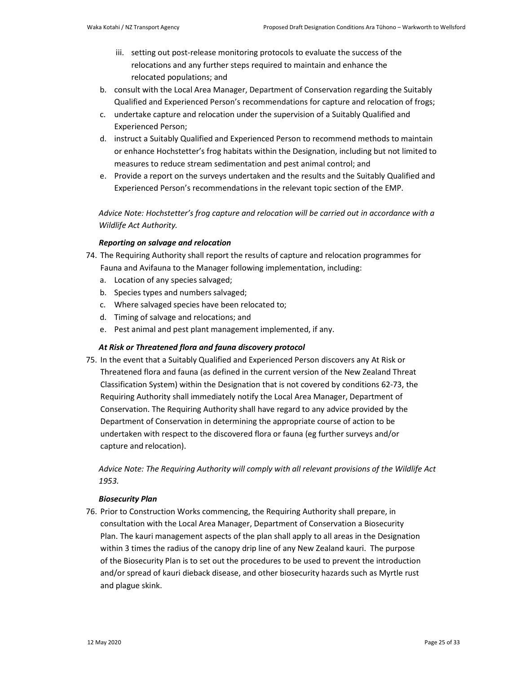- iii. setting out post-release monitoring protocols to evaluate the success of the relocations and any further steps required to maintain and enhance the relocated populations; and
- b. consult with the Local Area Manager, Department of Conservation regarding the Suitably Qualified and Experienced Person's recommendations for capture and relocation of frogs;
- c. undertake capture and relocation under the supervision of a Suitably Qualified and Experienced Person;
- d. instruct a Suitably Qualified and Experienced Person to recommend methods to maintain or enhance Hochstetter's frog habitats within the Designation, including but not limited to measures to reduce stream sedimentation and pest animal control; and
- e. Provide a report on the surveys undertaken and the results and the Suitably Qualified and Experienced Person's recommendations in the relevant topic section of the EMP.

*Advice Note: Hochstetter's frog capture and relocation will be carried out in accordance with a Wildlife Act Authority.* 

## *Reporting on salvage and relocation*

- 74. The Requiring Authority shall report the results of capture and relocation programmes for Fauna and Avifauna to the Manager following implementation, including:
	- a. Location of any species salvaged;
	- b. Species types and numbers salvaged;
	- c. Where salvaged species have been relocated to;
	- d. Timing of salvage and relocations; and
	- e. Pest animal and pest plant management implemented, if any.

## *At Risk or Threatened flora and fauna discovery protocol*

75. In the event that a Suitably Qualified and Experienced Person discovers any At Risk or Threatened flora and fauna (as defined in the current version of the New Zealand Threat Classification System) within the Designation that is not covered by conditions 62-73, the Requiring Authority shall immediately notify the Local Area Manager, Department of Conservation. The Requiring Authority shall have regard to any advice provided by the Department of Conservation in determining the appropriate course of action to be undertaken with respect to the discovered flora or fauna (eg further surveys and/or capture and relocation).

*Advice Note: The Requiring Authority will comply with all relevant provisions of the Wildlife Act 1953.*

## *Biosecurity Plan*

76. Prior to Construction Works commencing, the Requiring Authority shall prepare, in consultation with the Local Area Manager, Department of Conservation a Biosecurity Plan. The kauri management aspects of the plan shall apply to all areas in the Designation within 3 times the radius of the canopy drip line of any New Zealand kauri. The purpose of the Biosecurity Plan is to set out the procedures to be used to prevent the introduction and/or spread of kauri dieback disease, and other biosecurity hazards such as Myrtle rust and plague skink.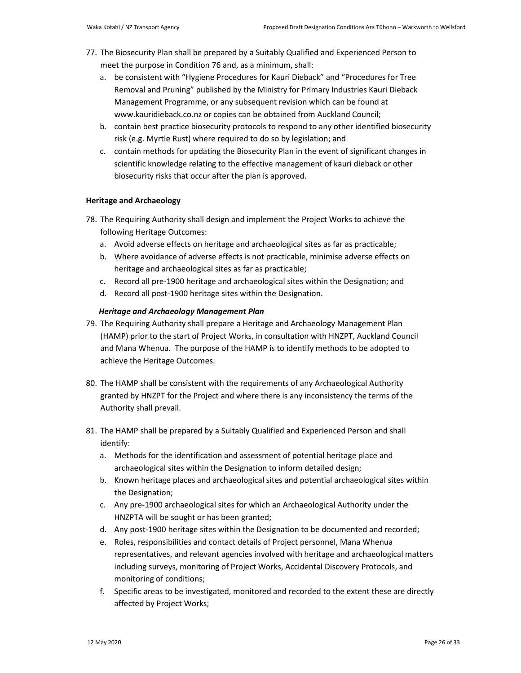- 77. The Biosecurity Plan shall be prepared by a Suitably Qualified and Experienced Person to meet the purpose in Condition 76 and, as a minimum, shall:
	- a. be consistent with "Hygiene Procedures for Kauri Dieback" and "Procedures for Tree Removal and Pruning" published by the Ministry for Primary Industries Kauri Dieback Management Programme, or any subsequent revision which can be found at www.kauridieback.co.nz or copies can be obtained from Auckland Council;
	- b. contain best practice biosecurity protocols to respond to any other identified biosecurity risk (e.g. Myrtle Rust) where required to do so by legislation; and
	- c. contain methods for updating the Biosecurity Plan in the event of significant changes in scientific knowledge relating to the effective management of kauri dieback or other biosecurity risks that occur after the plan is approved.

### **Heritage and Archaeology**

- 78. The Requiring Authority shall design and implement the Project Works to achieve the following Heritage Outcomes:
	- a. Avoid adverse effects on heritage and archaeological sites as far as practicable;
	- b. Where avoidance of adverse effects is not practicable, minimise adverse effects on heritage and archaeological sites as far as practicable;
	- c. Record all pre-1900 heritage and archaeological sites within the Designation; and
	- d. Record all post-1900 heritage sites within the Designation.

## *Heritage and Archaeology Management Plan*

- 79. The Requiring Authority shall prepare a Heritage and Archaeology Management Plan (HAMP) prior to the start of Project Works, in consultation with HNZPT, Auckland Council and Mana Whenua. The purpose of the HAMP is to identify methods to be adopted to achieve the Heritage Outcomes.
- 80. The HAMP shall be consistent with the requirements of any Archaeological Authority granted by HNZPT for the Project and where there is any inconsistency the terms of the Authority shall prevail.
- 81. The HAMP shall be prepared by a Suitably Qualified and Experienced Person and shall identify:
	- a. Methods for the identification and assessment of potential heritage place and archaeological sites within the Designation to inform detailed design;
	- b. Known heritage places and archaeological sites and potential archaeological sites within the Designation;
	- c. Any pre-1900 archaeological sites for which an Archaeological Authority under the HNZPTA will be sought or has been granted;
	- d. Any post-1900 heritage sites within the Designation to be documented and recorded;
	- e. Roles, responsibilities and contact details of Project personnel, Mana Whenua representatives, and relevant agencies involved with heritage and archaeological matters including surveys, monitoring of Project Works, Accidental Discovery Protocols, and monitoring of conditions;
	- f. Specific areas to be investigated, monitored and recorded to the extent these are directly affected by Project Works;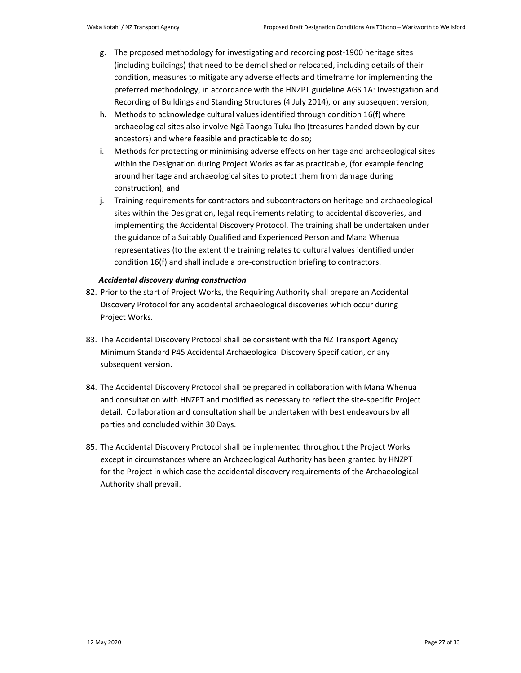- g. The proposed methodology for investigating and recording post-1900 heritage sites (including buildings) that need to be demolished or relocated, including details of their condition, measures to mitigate any adverse effects and timeframe for implementing the preferred methodology, in accordance with the HNZPT guideline AGS 1A: Investigation and Recording of Buildings and Standing Structures (4 July 2014), or any subsequent version;
- h. Methods to acknowledge cultural values identified through condition 16(f) where archaeological sites also involve Ngā Taonga Tuku Iho (treasures handed down by our ancestors) and where feasible and practicable to do so;
- i. Methods for protecting or minimising adverse effects on heritage and archaeological sites within the Designation during Project Works as far as practicable, (for example fencing around heritage and archaeological sites to protect them from damage during construction); and
- j. Training requirements for contractors and subcontractors on heritage and archaeological sites within the Designation, legal requirements relating to accidental discoveries, and implementing the Accidental Discovery Protocol. The training shall be undertaken under the guidance of a Suitably Qualified and Experienced Person and Mana Whenua representatives (to the extent the training relates to cultural values identified under condition 16(f) and shall include a pre-construction briefing to contractors.

### *Accidental discovery during construction*

- 82. Prior to the start of Project Works, the Requiring Authority shall prepare an Accidental Discovery Protocol for any accidental archaeological discoveries which occur during Project Works.
- 83. The Accidental Discovery Protocol shall be consistent with the NZ Transport Agency Minimum Standard P45 Accidental Archaeological Discovery Specification, or any subsequent version.
- 84. The Accidental Discovery Protocol shall be prepared in collaboration with Mana Whenua and consultation with HNZPT and modified as necessary to reflect the site-specific Project detail. Collaboration and consultation shall be undertaken with best endeavours by all parties and concluded within 30 Days.
- 85. The Accidental Discovery Protocol shall be implemented throughout the Project Works except in circumstances where an Archaeological Authority has been granted by HNZPT for the Project in which case the accidental discovery requirements of the Archaeological Authority shall prevail.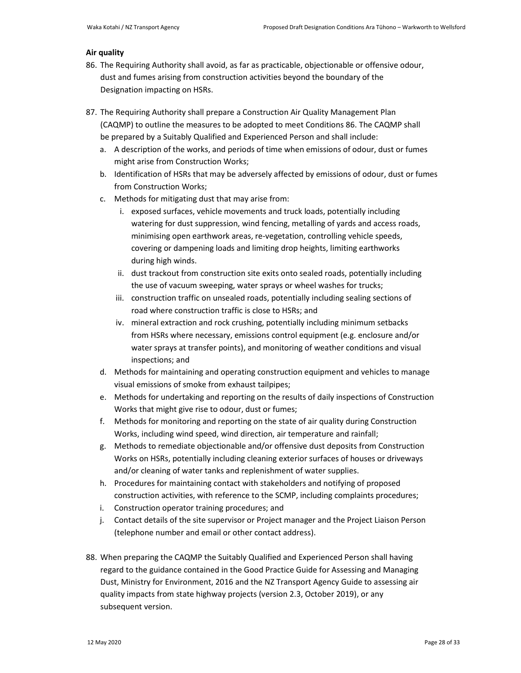#### **Air quality**

- 86. The Requiring Authority shall avoid, as far as practicable, objectionable or offensive odour, dust and fumes arising from construction activities beyond the boundary of the Designation impacting on HSRs.
- 87. The Requiring Authority shall prepare a Construction Air Quality Management Plan (CAQMP) to outline the measures to be adopted to meet Conditions 86. The CAQMP shall be prepared by a Suitably Qualified and Experienced Person and shall include:
	- a. A description of the works, and periods of time when emissions of odour, dust or fumes might arise from Construction Works;
	- b. Identification of HSRs that may be adversely affected by emissions of odour, dust or fumes from Construction Works;
	- c. Methods for mitigating dust that may arise from:
		- i. exposed surfaces, vehicle movements and truck loads, potentially including watering for dust suppression, wind fencing, metalling of yards and access roads, minimising open earthwork areas, re-vegetation, controlling vehicle speeds, covering or dampening loads and limiting drop heights, limiting earthworks during high winds.
		- ii. dust trackout from construction site exits onto sealed roads, potentially including the use of vacuum sweeping, water sprays or wheel washes for trucks;
		- iii. construction traffic on unsealed roads, potentially including sealing sections of road where construction traffic is close to HSRs; and
		- iv. mineral extraction and rock crushing, potentially including minimum setbacks from HSRs where necessary, emissions control equipment (e.g. enclosure and/or water sprays at transfer points), and monitoring of weather conditions and visual inspections; and
	- d. Methods for maintaining and operating construction equipment and vehicles to manage visual emissions of smoke from exhaust tailpipes;
	- e. Methods for undertaking and reporting on the results of daily inspections of Construction Works that might give rise to odour, dust or fumes;
	- f. Methods for monitoring and reporting on the state of air quality during Construction Works, including wind speed, wind direction, air temperature and rainfall;
	- g. Methods to remediate objectionable and/or offensive dust deposits from Construction Works on HSRs, potentially including cleaning exterior surfaces of houses or driveways and/or cleaning of water tanks and replenishment of water supplies.
	- h. Procedures for maintaining contact with stakeholders and notifying of proposed construction activities, with reference to the SCMP, including complaints procedures;
	- i. Construction operator training procedures; and
	- j. Contact details of the site supervisor or Project manager and the Project Liaison Person (telephone number and email or other contact address).
- 88. When preparing the CAQMP the Suitably Qualified and Experienced Person shall having regard to the guidance contained in the Good Practice Guide for Assessing and Managing Dust, Ministry for Environment, 2016 and the NZ Transport Agency Guide to assessing air quality impacts from state highway projects (version 2.3, October 2019), or any subsequent version.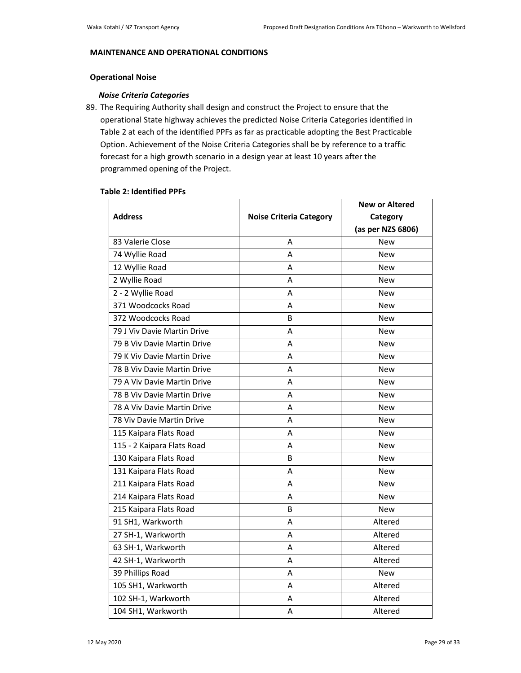## **MAINTENANCE AND OPERATIONAL CONDITIONS**

## **Operational Noise**

## *Noise Criteria Categories*

89. The Requiring Authority shall design and construct the Project to ensure that the operational State highway achieves the predicted Noise Criteria Categories identified in Table 2 at each of the identified PPFs as far as practicable adopting the Best Practicable Option. Achievement of the Noise Criteria Categories shall be by reference to a traffic forecast for a high growth scenario in a design year at least 10 years after the programmed opening of the Project.

## **Table 2: Identified PPFs**

|                             |                                | <b>New or Altered</b> |
|-----------------------------|--------------------------------|-----------------------|
| <b>Address</b>              | <b>Noise Criteria Category</b> | Category              |
|                             |                                | (as per NZS 6806)     |
| 83 Valerie Close            | A                              | New                   |
| 74 Wyllie Road              | А                              | New                   |
| 12 Wyllie Road              | А                              | <b>New</b>            |
| 2 Wyllie Road               | А                              | <b>New</b>            |
| 2 - 2 Wyllie Road           | A                              | <b>New</b>            |
| 371 Woodcocks Road          | А                              | <b>New</b>            |
| 372 Woodcocks Road          | B                              | <b>New</b>            |
| 79 J Viv Davie Martin Drive | A                              | <b>New</b>            |
| 79 B Viv Davie Martin Drive | А                              | New                   |
| 79 K Viv Davie Martin Drive | Α                              | <b>New</b>            |
| 78 B Viv Davie Martin Drive | A                              | <b>New</b>            |
| 79 A Viv Davie Martin Drive | А                              | New                   |
| 78 B Viv Davie Martin Drive | А                              | New                   |
| 78 A Viv Davie Martin Drive | Α                              | <b>New</b>            |
| 78 Viv Davie Martin Drive   | А                              | <b>New</b>            |
| 115 Kaipara Flats Road      | А                              | New                   |
| 115 - 2 Kaipara Flats Road  | A                              | <b>New</b>            |
| 130 Kaipara Flats Road      | B                              | <b>New</b>            |
| 131 Kaipara Flats Road      | А                              | <b>New</b>            |
| 211 Kaipara Flats Road      | А                              | New                   |
| 214 Kaipara Flats Road      | A                              | <b>New</b>            |
| 215 Kaipara Flats Road      | B                              | <b>New</b>            |
| 91 SH1, Warkworth           | А                              | Altered               |
| 27 SH-1, Warkworth          | A                              | Altered               |
| 63 SH-1, Warkworth          | А                              | Altered               |
| 42 SH-1, Warkworth          | A                              | Altered               |
| 39 Phillips Road            | А                              | New                   |
| 105 SH1, Warkworth          | А                              | Altered               |
| 102 SH-1, Warkworth         | А                              | Altered               |
| 104 SH1, Warkworth          | Α                              | Altered               |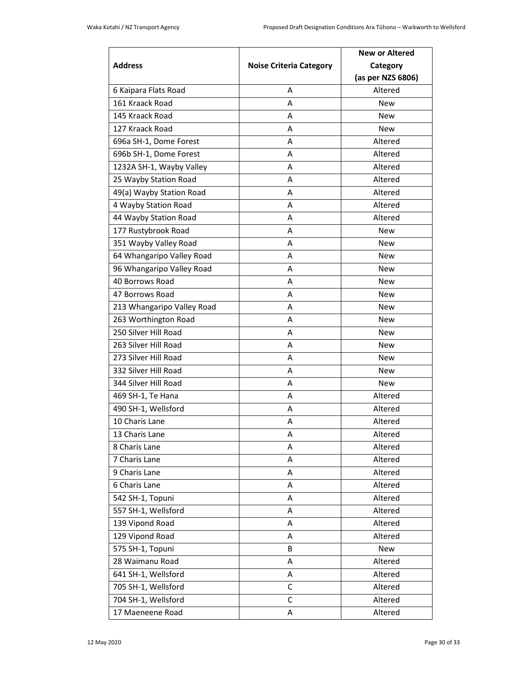| <b>Address</b>             | <b>Noise Criteria Category</b> | <b>New or Altered</b><br>Category<br>(as per NZS 6806) |
|----------------------------|--------------------------------|--------------------------------------------------------|
| 6 Kaipara Flats Road       | A                              | Altered                                                |
| 161 Kraack Road            | А                              | <b>New</b>                                             |
| 145 Kraack Road            | A                              | New                                                    |
| 127 Kraack Road            | А                              | <b>New</b>                                             |
| 696a SH-1, Dome Forest     | А                              | Altered                                                |
| 696b SH-1, Dome Forest     | А                              | Altered                                                |
| 1232A SH-1, Wayby Valley   | A                              | Altered                                                |
| 25 Wayby Station Road      | А                              | Altered                                                |
| 49(a) Wayby Station Road   | А                              | Altered                                                |
| 4 Wayby Station Road       | А                              | Altered                                                |
| 44 Wayby Station Road      | А                              | Altered                                                |
| 177 Rustybrook Road        | А                              | <b>New</b>                                             |
| 351 Wayby Valley Road      | А                              | New                                                    |
| 64 Whangaripo Valley Road  | А                              | <b>New</b>                                             |
| 96 Whangaripo Valley Road  | А                              | New                                                    |
| 40 Borrows Road            | А                              | New                                                    |
| 47 Borrows Road            | А                              | New                                                    |
| 213 Whangaripo Valley Road | А                              | <b>New</b>                                             |
| 263 Worthington Road       | А                              | New                                                    |
| 250 Silver Hill Road       | А                              | New                                                    |
| 263 Silver Hill Road       | А                              | New                                                    |
| 273 Silver Hill Road       | А                              | <b>New</b>                                             |
| 332 Silver Hill Road       | А                              | <b>New</b>                                             |
| 344 Silver Hill Road       | А                              | <b>New</b>                                             |
| 469 SH-1, Te Hana          | А                              | Altered                                                |
| 490 SH-1, Wellsford        | A                              | Altered                                                |
| 10 Charis Lane             | А                              | Altered                                                |
| 13 Charis Lane             | Α                              | Altered                                                |
| 8 Charis Lane              | Α                              | Altered                                                |
| 7 Charis Lane              | Α                              | Altered                                                |
| 9 Charis Lane              | Α                              | Altered                                                |
| 6 Charis Lane              | Α                              | Altered                                                |
| 542 SH-1, Topuni           | Α                              | Altered                                                |
| 557 SH-1, Wellsford        | Α                              | Altered                                                |
| 139 Vipond Road            | Α                              | Altered                                                |
| 129 Vipond Road            | Α                              | Altered                                                |
| 575 SH-1, Topuni           | В                              | New                                                    |
| 28 Waimanu Road            | Α                              | Altered                                                |
| 641 SH-1, Wellsford        | Α                              | Altered                                                |
| 705 SH-1, Wellsford        | C                              | Altered                                                |
| 704 SH-1, Wellsford        | $\mathsf C$                    | Altered                                                |
| 17 Maeneene Road           | Α                              | Altered                                                |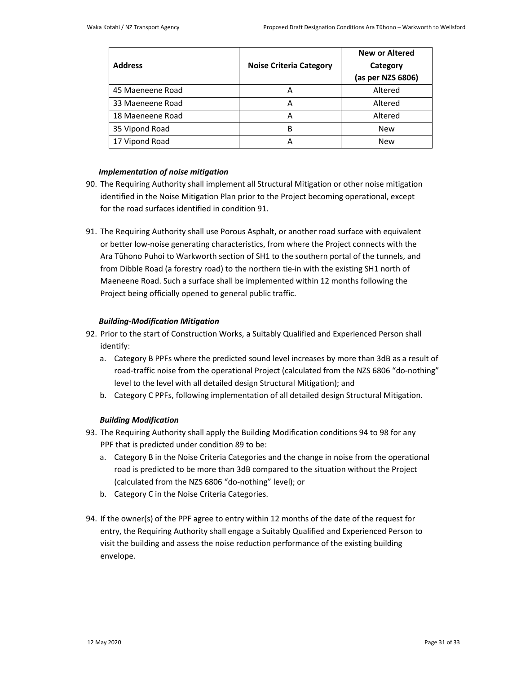|                  |                                | <b>New or Altered</b> |
|------------------|--------------------------------|-----------------------|
| <b>Address</b>   | <b>Noise Criteria Category</b> | Category              |
|                  |                                | (as per NZS 6806)     |
| 45 Maeneene Road | А                              | Altered               |
| 33 Maeneene Road | А                              | Altered               |
| 18 Maeneene Road | А                              | Altered               |
| 35 Vipond Road   | B                              | <b>New</b>            |
| 17 Vipond Road   |                                | <b>New</b>            |

## *Implementation of noise mitigation*

- 90. The Requiring Authority shall implement all Structural Mitigation or other noise mitigation identified in the Noise Mitigation Plan prior to the Project becoming operational, except for the road surfaces identified in condition 91.
- 91. The Requiring Authority shall use Porous Asphalt, or another road surface with equivalent or better low-noise generating characteristics, from where the Project connects with the Ara Tūhono Puhoi to Warkworth section of SH1 to the southern portal of the tunnels, and from Dibble Road (a forestry road) to the northern tie-in with the existing SH1 north of Maeneene Road. Such a surface shall be implemented within 12 months following the Project being officially opened to general public traffic.

## *Building-Modification Mitigation*

- 92. Prior to the start of Construction Works, a Suitably Qualified and Experienced Person shall identify:
	- a. Category B PPFs where the predicted sound level increases by more than 3dB as a result of road-traffic noise from the operational Project (calculated from the NZS 6806 "do-nothing" level to the level with all detailed design Structural Mitigation); and
	- b. Category C PPFs, following implementation of all detailed design Structural Mitigation.

## *Building Modification*

- 93. The Requiring Authority shall apply the Building Modification conditions 94 to 98 for any PPF that is predicted under condition 89 to be:
	- a. Category B in the Noise Criteria Categories and the change in noise from the operational road is predicted to be more than 3dB compared to the situation without the Project (calculated from the NZS 6806 "do-nothing" level); or
	- b. Category C in the Noise Criteria Categories.
- 94. If the owner(s) of the PPF agree to entry within 12 months of the date of the request for entry, the Requiring Authority shall engage a Suitably Qualified and Experienced Person to visit the building and assess the noise reduction performance of the existing building envelope.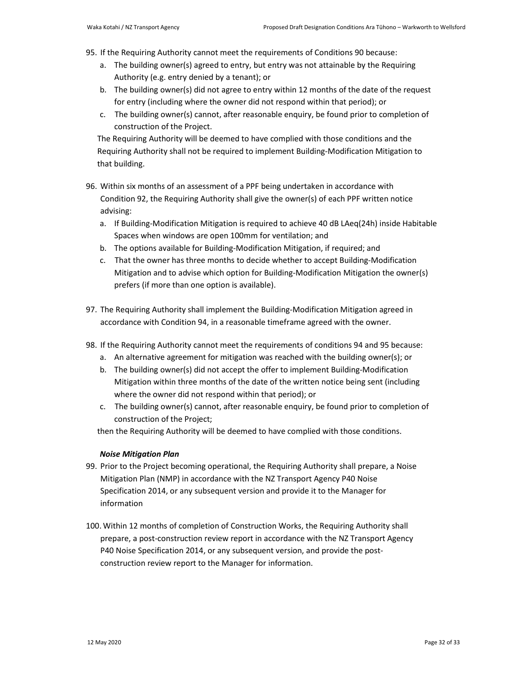- 95. If the Requiring Authority cannot meet the requirements of Conditions 90 because:
	- a. The building owner(s) agreed to entry, but entry was not attainable by the Requiring Authority (e.g. entry denied by a tenant); or
	- b. The building owner(s) did not agree to entry within 12 months of the date of the request for entry (including where the owner did not respond within that period); or
	- c. The building owner(s) cannot, after reasonable enquiry, be found prior to completion of construction of the Project.

The Requiring Authority will be deemed to have complied with those conditions and the Requiring Authority shall not be required to implement Building-Modification Mitigation to that building.

- 96. Within six months of an assessment of a PPF being undertaken in accordance with Condition 92, the Requiring Authority shall give the owner(s) of each PPF written notice advising:
	- a. If Building-Modification Mitigation is required to achieve 40 dB LAeq(24h) inside Habitable Spaces when windows are open 100mm for ventilation; and
	- b. The options available for Building-Modification Mitigation, if required; and
	- c. That the owner has three months to decide whether to accept Building-Modification Mitigation and to advise which option for Building-Modification Mitigation the owner(s) prefers (if more than one option is available).
- 97. The Requiring Authority shall implement the Building-Modification Mitigation agreed in accordance with Condition 94, in a reasonable timeframe agreed with the owner.
- 98. If the Requiring Authority cannot meet the requirements of conditions 94 and 95 because:
	- a. An alternative agreement for mitigation was reached with the building owner(s); or
	- b. The building owner(s) did not accept the offer to implement Building-Modification Mitigation within three months of the date of the written notice being sent (including where the owner did not respond within that period); or
	- c. The building owner(s) cannot, after reasonable enquiry, be found prior to completion of construction of the Project;

then the Requiring Authority will be deemed to have complied with those conditions.

## *Noise Mitigation Plan*

- 99. Prior to the Project becoming operational, the Requiring Authority shall prepare, a Noise Mitigation Plan (NMP) in accordance with the NZ Transport Agency P40 Noise Specification 2014, or any subsequent version and provide it to the Manager for information
- 100. Within 12 months of completion of Construction Works, the Requiring Authority shall prepare, a post-construction review report in accordance with the NZ Transport Agency P40 Noise Specification 2014, or any subsequent version, and provide the postconstruction review report to the Manager for information.